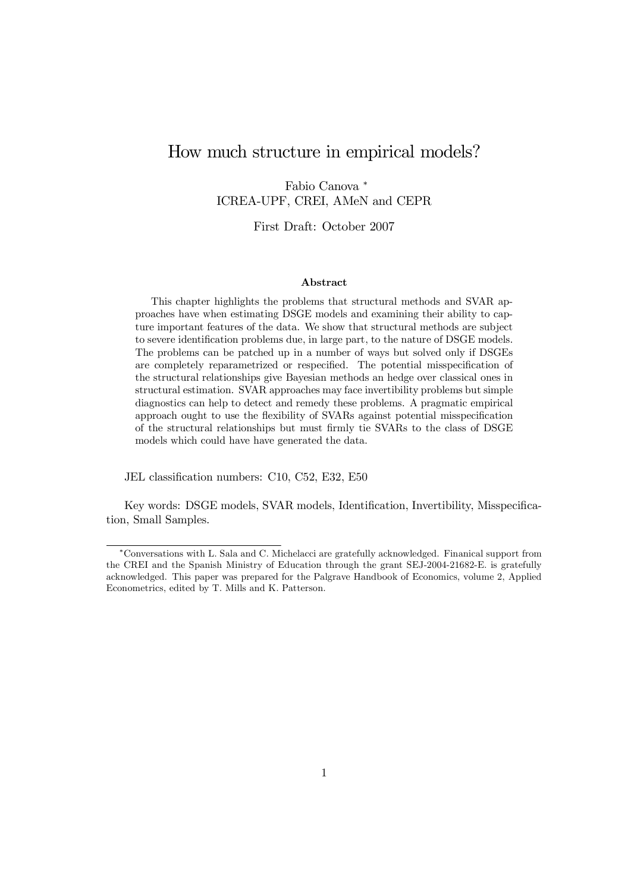# How much structure in empirical models?

Fabio Canova <sup>∗</sup> ICREA-UPF, CREI, AMeN and CEPR

First Draft: October 2007

#### Abstract

This chapter highlights the problems that structural methods and SVAR approaches have when estimating DSGE models and examining their ability to capture important features of the data. We show that structural methods are subject to severe identification problems due, in large part, to the nature of DSGE models. The problems can be patched up in a number of ways but solved only if DSGEs are completely reparametrized or respecified. The potential misspecification of the structural relationships give Bayesian methods an hedge over classical ones in structural estimation. SVAR approaches may face invertibility problems but simple diagnostics can help to detect and remedy these problems. A pragmatic empirical approach ought to use the flexibility of SVARs against potential misspecification of the structural relationships but must firmly tie SVARs to the class of DSGE models which could have have generated the data.

JEL classification numbers: C10, C52, E32, E50

Key words: DSGE models, SVAR models, Identification, Invertibility, Misspecification, Small Samples.

<sup>∗</sup>Conversations with L. Sala and C. Michelacci are gratefully acknowledged. Finanical support from the CREI and the Spanish Ministry of Education through the grant SEJ-2004-21682-E. is gratefully acknowledged. This paper was prepared for the Palgrave Handbook of Economics, volume 2, Applied Econometrics, edited by T. Mills and K. Patterson.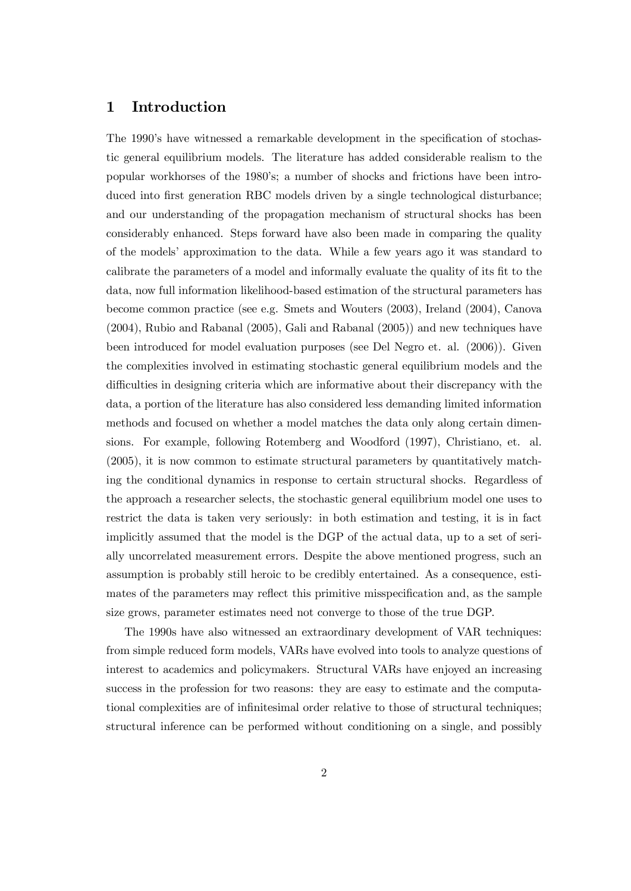## 1 Introduction

The 1990's have witnessed a remarkable development in the specification of stochastic general equilibrium models. The literature has added considerable realism to the popular workhorses of the 1980's; a number of shocks and frictions have been introduced into first generation RBC models driven by a single technological disturbance; and our understanding of the propagation mechanism of structural shocks has been considerably enhanced. Steps forward have also been made in comparing the quality of the models' approximation to the data. While a few years ago it was standard to calibrate the parameters of a model and informally evaluate the quality of its fit to the data, now full information likelihood-based estimation of the structural parameters has become common practice (see e.g. Smets and Wouters (2003), Ireland (2004), Canova (2004), Rubio and Rabanal (2005), Gali and Rabanal (2005)) and new techniques have been introduced for model evaluation purposes (see Del Negro et. al. (2006)). Given the complexities involved in estimating stochastic general equilibrium models and the difficulties in designing criteria which are informative about their discrepancy with the data, a portion of the literature has also considered less demanding limited information methods and focused on whether a model matches the data only along certain dimensions. For example, following Rotemberg and Woodford (1997), Christiano, et. al. (2005), it is now common to estimate structural parameters by quantitatively matching the conditional dynamics in response to certain structural shocks. Regardless of the approach a researcher selects, the stochastic general equilibrium model one uses to restrict the data is taken very seriously: in both estimation and testing, it is in fact implicitly assumed that the model is the DGP of the actual data, up to a set of serially uncorrelated measurement errors. Despite the above mentioned progress, such an assumption is probably still heroic to be credibly entertained. As a consequence, estimates of the parameters may reflect this primitive misspecification and, as the sample size grows, parameter estimates need not converge to those of the true DGP.

The 1990s have also witnessed an extraordinary development of VAR techniques: from simple reduced form models, VARs have evolved into tools to analyze questions of interest to academics and policymakers. Structural VARs have enjoyed an increasing success in the profession for two reasons: they are easy to estimate and the computational complexities are of infinitesimal order relative to those of structural techniques; structural inference can be performed without conditioning on a single, and possibly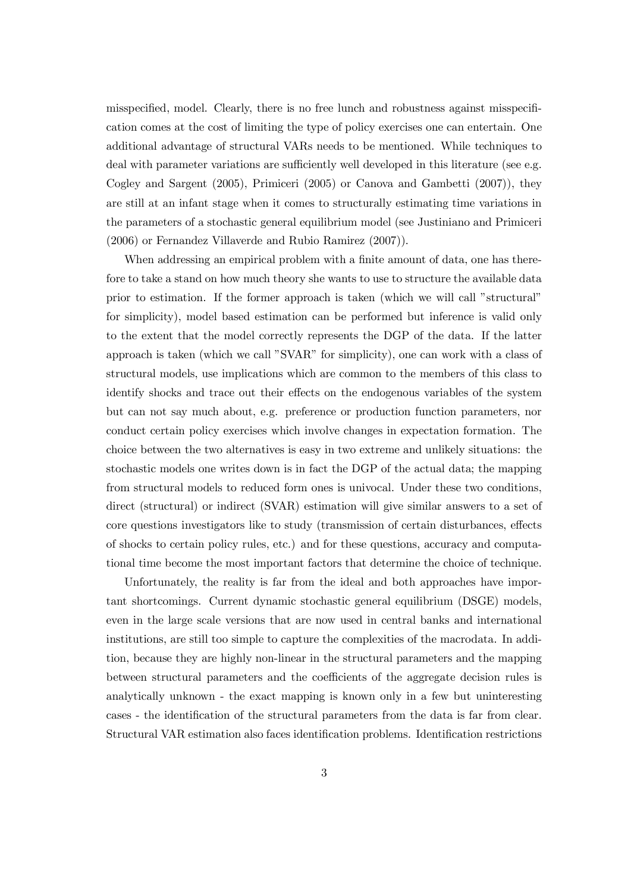misspecified, model. Clearly, there is no free lunch and robustness against misspecification comes at the cost of limiting the type of policy exercises one can entertain. One additional advantage of structural VARs needs to be mentioned. While techniques to deal with parameter variations are sufficiently well developed in this literature (see e.g. Cogley and Sargent (2005), Primiceri (2005) or Canova and Gambetti (2007)), they are still at an infant stage when it comes to structurally estimating time variations in the parameters of a stochastic general equilibrium model (see Justiniano and Primiceri (2006) or Fernandez Villaverde and Rubio Ramirez (2007)).

When addressing an empirical problem with a finite amount of data, one has therefore to take a stand on how much theory she wants to use to structure the available data prior to estimation. If the former approach is taken (which we will call "structural" for simplicity), model based estimation can be performed but inference is valid only to the extent that the model correctly represents the DGP of the data. If the latter approach is taken (which we call "SVAR" for simplicity), one can work with a class of structural models, use implications which are common to the members of this class to identify shocks and trace out their effects on the endogenous variables of the system but can not say much about, e.g. preference or production function parameters, nor conduct certain policy exercises which involve changes in expectation formation. The choice between the two alternatives is easy in two extreme and unlikely situations: the stochastic models one writes down is in fact the DGP of the actual data; the mapping from structural models to reduced form ones is univocal. Under these two conditions, direct (structural) or indirect (SVAR) estimation will give similar answers to a set of core questions investigators like to study (transmission of certain disturbances, effects of shocks to certain policy rules, etc.) and for these questions, accuracy and computational time become the most important factors that determine the choice of technique.

Unfortunately, the reality is far from the ideal and both approaches have important shortcomings. Current dynamic stochastic general equilibrium (DSGE) models, even in the large scale versions that are now used in central banks and international institutions, are still too simple to capture the complexities of the macrodata. In addition, because they are highly non-linear in the structural parameters and the mapping between structural parameters and the coefficients of the aggregate decision rules is analytically unknown - the exact mapping is known only in a few but uninteresting cases - the identification of the structural parameters from the data is far from clear. Structural VAR estimation also faces identification problems. Identification restrictions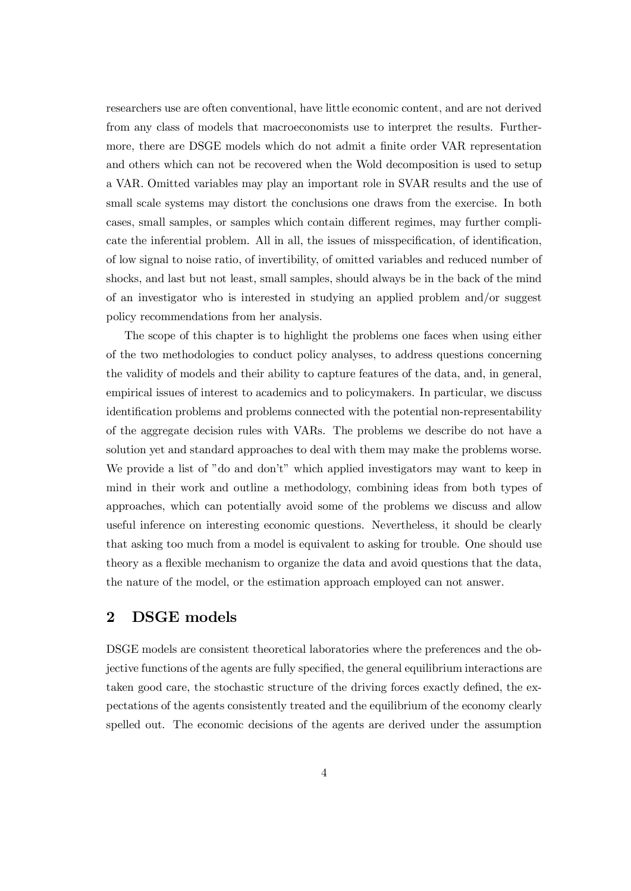researchers use are often conventional, have little economic content, and are not derived from any class of models that macroeconomists use to interpret the results. Furthermore, there are DSGE models which do not admit a finite order VAR representation and others which can not be recovered when the Wold decomposition is used to setup a VAR. Omitted variables may play an important role in SVAR results and the use of small scale systems may distort the conclusions one draws from the exercise. In both cases, small samples, or samples which contain different regimes, may further complicate the inferential problem. All in all, the issues of misspecification, of identification, of low signal to noise ratio, of invertibility, of omitted variables and reduced number of shocks, and last but not least, small samples, should always be in the back of the mind of an investigator who is interested in studying an applied problem and/or suggest policy recommendations from her analysis.

The scope of this chapter is to highlight the problems one faces when using either of the two methodologies to conduct policy analyses, to address questions concerning the validity of models and their ability to capture features of the data, and, in general, empirical issues of interest to academics and to policymakers. In particular, we discuss identification problems and problems connected with the potential non-representability of the aggregate decision rules with VARs. The problems we describe do not have a solution yet and standard approaches to deal with them may make the problems worse. We provide a list of "do and don't" which applied investigators may want to keep in mind in their work and outline a methodology, combining ideas from both types of approaches, which can potentially avoid some of the problems we discuss and allow useful inference on interesting economic questions. Nevertheless, it should be clearly that asking too much from a model is equivalent to asking for trouble. One should use theory as a flexible mechanism to organize the data and avoid questions that the data, the nature of the model, or the estimation approach employed can not answer.

### 2 DSGE models

DSGE models are consistent theoretical laboratories where the preferences and the objective functions of the agents are fully specified, the general equilibrium interactions are taken good care, the stochastic structure of the driving forces exactly defined, the expectations of the agents consistently treated and the equilibrium of the economy clearly spelled out. The economic decisions of the agents are derived under the assumption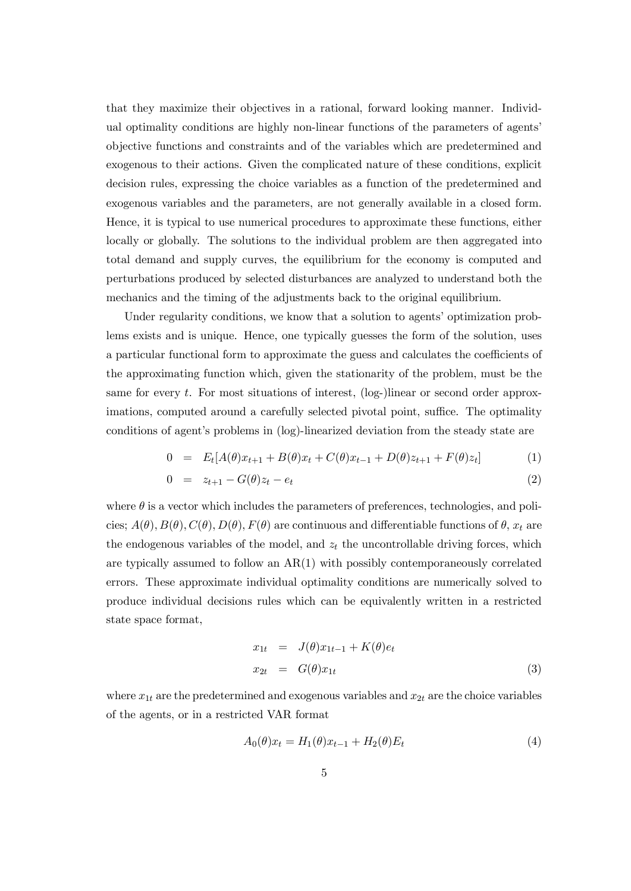that they maximize their objectives in a rational, forward looking manner. Individual optimality conditions are highly non-linear functions of the parameters of agents' objective functions and constraints and of the variables which are predetermined and exogenous to their actions. Given the complicated nature of these conditions, explicit decision rules, expressing the choice variables as a function of the predetermined and exogenous variables and the parameters, are not generally available in a closed form. Hence, it is typical to use numerical procedures to approximate these functions, either locally or globally. The solutions to the individual problem are then aggregated into total demand and supply curves, the equilibrium for the economy is computed and perturbations produced by selected disturbances are analyzed to understand both the mechanics and the timing of the adjustments back to the original equilibrium.

Under regularity conditions, we know that a solution to agents' optimization problems exists and is unique. Hence, one typically guesses the form of the solution, uses a particular functional form to approximate the guess and calculates the coefficients of the approximating function which, given the stationarity of the problem, must be the same for every  $t$ . For most situations of interest,  $(\log_{2}$ linear or second order approximations, computed around a carefully selected pivotal point, suffice. The optimality conditions of agent's problems in (log)-linearized deviation from the steady state are

$$
0 = E_t[A(\theta)x_{t+1} + B(\theta)x_t + C(\theta)x_{t-1} + D(\theta)z_{t+1} + F(\theta)z_t]
$$
(1)

$$
0 = z_{t+1} - G(\theta)z_t - e_t \tag{2}
$$

where  $\theta$  is a vector which includes the parameters of preferences, technologies, and policies;  $A(\theta), B(\theta), C(\theta), D(\theta), F(\theta)$  are continuous and differentiable functions of  $\theta, x_t$  are the endogenous variables of the model, and  $z_t$  the uncontrollable driving forces, which are typically assumed to follow an AR(1) with possibly contemporaneously correlated errors. These approximate individual optimality conditions are numerically solved to produce individual decisions rules which can be equivalently written in a restricted state space format,

$$
x_{1t} = J(\theta)x_{1t-1} + K(\theta)e_t
$$
  
\n
$$
x_{2t} = G(\theta)x_{1t}
$$
\n(3)

where  $x_{1t}$  are the predetermined and exogenous variables and  $x_{2t}$  are the choice variables of the agents, or in a restricted VAR format

$$
A_0(\theta)x_t = H_1(\theta)x_{t-1} + H_2(\theta)E_t
$$
\n(4)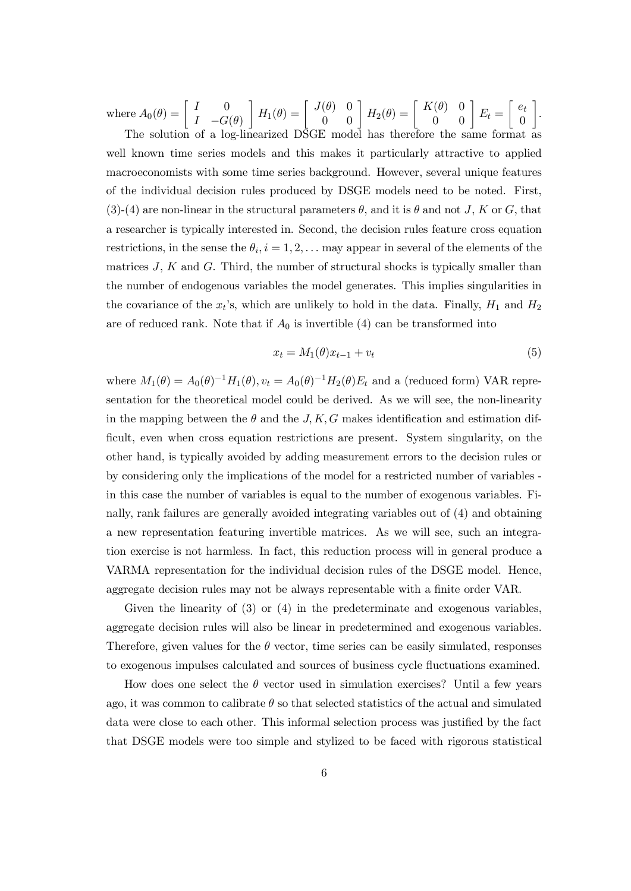where  $A_0(\theta) = \begin{bmatrix} I & 0 \\ I & C \end{bmatrix}$  $I - G(\theta)$  $\begin{bmatrix} H_1(\theta) = \begin{bmatrix} J(\theta) & 0 \ 0 & 0 \end{bmatrix} H_2(\theta) = \begin{bmatrix} K(\theta) & 0 \ 0 & 0 \end{bmatrix} E_t = \begin{bmatrix} e_t \ 0 \end{bmatrix}$  $\theta$  $\overline{1}$ . The solution of a log-linearized DSGE model has therefore the same format as well known time series models and this makes it particularly attractive to applied macroeconomists with some time series background. However, several unique features of the individual decision rules produced by DSGE models need to be noted. First, (3)-(4) are non-linear in the structural parameters  $\theta$ , and it is  $\theta$  and not J, K or G, that a researcher is typically interested in. Second, the decision rules feature cross equation restrictions, in the sense the  $\theta_i$ ,  $i = 1, 2, \ldots$  may appear in several of the elements of the matrices  $J, K$  and  $G$ . Third, the number of structural shocks is typically smaller than the number of endogenous variables the model generates. This implies singularities in the covariance of the  $x_t$ 's, which are unlikely to hold in the data. Finally,  $H_1$  and  $H_2$ 

are of reduced rank. Note that if  $A_0$  is invertible (4) can be transformed into

$$
x_t = M_1(\theta)x_{t-1} + v_t \tag{5}
$$

where  $M_1(\theta) = A_0(\theta)^{-1} H_1(\theta), v_t = A_0(\theta)^{-1} H_2(\theta) E_t$  and a (reduced form) VAR representation for the theoretical model could be derived. As we will see, the non-linearity in the mapping between the  $\theta$  and the J, K, G makes identification and estimation difficult, even when cross equation restrictions are present. System singularity, on the other hand, is typically avoided by adding measurement errors to the decision rules or by considering only the implications of the model for a restricted number of variables in this case the number of variables is equal to the number of exogenous variables. Finally, rank failures are generally avoided integrating variables out of (4) and obtaining a new representation featuring invertible matrices. As we will see, such an integration exercise is not harmless. In fact, this reduction process will in general produce a VARMA representation for the individual decision rules of the DSGE model. Hence, aggregate decision rules may not be always representable with a finite order VAR.

Given the linearity of (3) or (4) in the predeterminate and exogenous variables, aggregate decision rules will also be linear in predetermined and exogenous variables. Therefore, given values for the  $\theta$  vector, time series can be easily simulated, responses to exogenous impulses calculated and sources of business cycle fluctuations examined.

How does one select the  $\theta$  vector used in simulation exercises? Until a few years ago, it was common to calibrate  $\theta$  so that selected statistics of the actual and simulated data were close to each other. This informal selection process was justified by the fact that DSGE models were too simple and stylized to be faced with rigorous statistical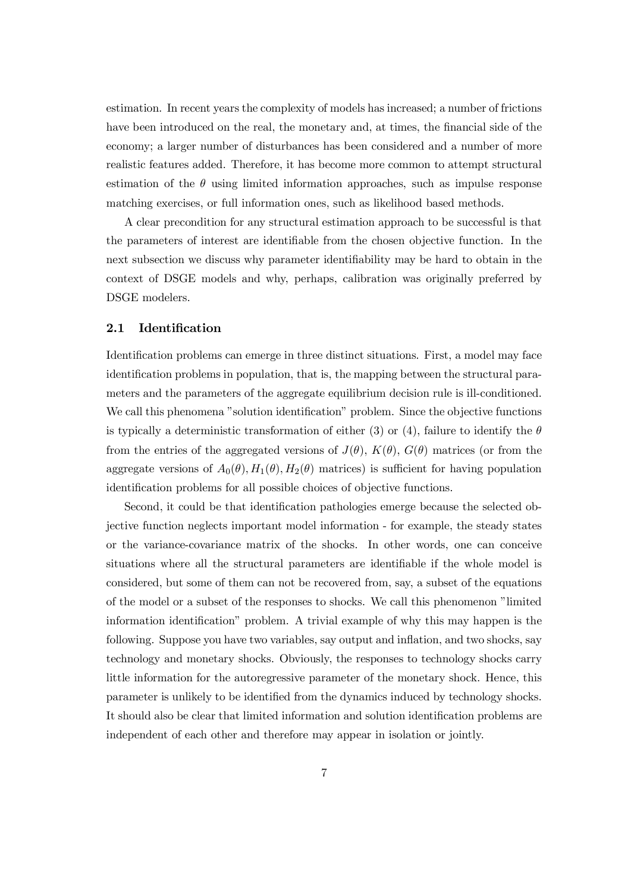estimation. In recent years the complexity of models has increased; a number of frictions have been introduced on the real, the monetary and, at times, the financial side of the economy; a larger number of disturbances has been considered and a number of more realistic features added. Therefore, it has become more common to attempt structural estimation of the  $\theta$  using limited information approaches, such as impulse response matching exercises, or full information ones, such as likelihood based methods.

A clear precondition for any structural estimation approach to be successful is that the parameters of interest are identifiable from the chosen objective function. In the next subsection we discuss why parameter identifiability may be hard to obtain in the context of DSGE models and why, perhaps, calibration was originally preferred by DSGE modelers.

### 2.1 Identification

Identification problems can emerge in three distinct situations. First, a model may face identification problems in population, that is, the mapping between the structural parameters and the parameters of the aggregate equilibrium decision rule is ill-conditioned. We call this phenomena "solution identification" problem. Since the objective functions is typically a deterministic transformation of either (3) or (4), failure to identify the  $\theta$ from the entries of the aggregated versions of  $J(\theta)$ ,  $K(\theta)$ ,  $G(\theta)$  matrices (or from the aggregate versions of  $A_0(\theta)$ ,  $H_1(\theta)$ ,  $H_2(\theta)$  matrices) is sufficient for having population identification problems for all possible choices of objective functions.

Second, it could be that identification pathologies emerge because the selected objective function neglects important model information - for example, the steady states or the variance-covariance matrix of the shocks. In other words, one can conceive situations where all the structural parameters are identifiable if the whole model is considered, but some of them can not be recovered from, say, a subset of the equations of the model or a subset of the responses to shocks. We call this phenomenon "limited information identification" problem. A trivial example of why this may happen is the following. Suppose you have two variables, say output and inflation, and two shocks, say technology and monetary shocks. Obviously, the responses to technology shocks carry little information for the autoregressive parameter of the monetary shock. Hence, this parameter is unlikely to be identified from the dynamics induced by technology shocks. It should also be clear that limited information and solution identification problems are independent of each other and therefore may appear in isolation or jointly.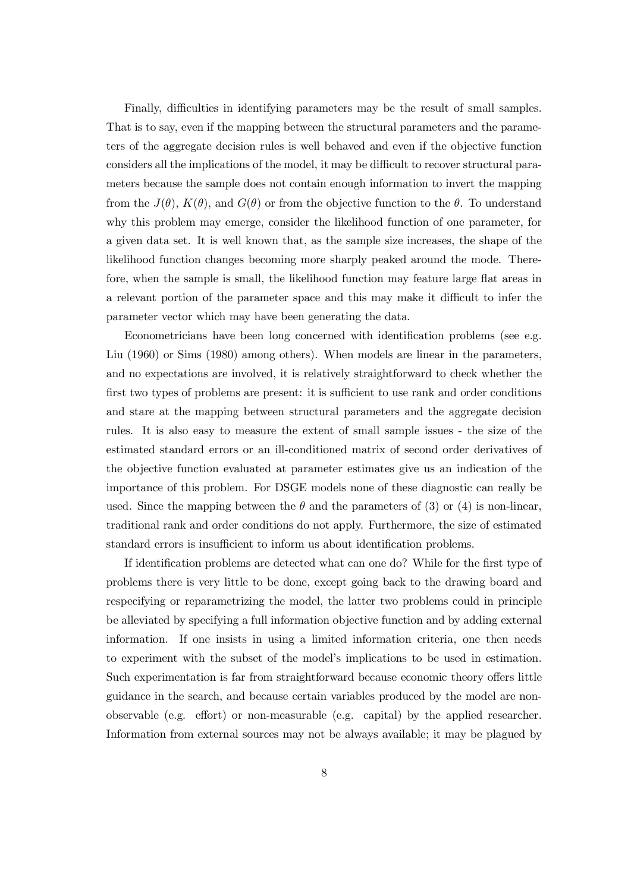Finally, difficulties in identifying parameters may be the result of small samples. That is to say, even if the mapping between the structural parameters and the parameters of the aggregate decision rules is well behaved and even if the objective function considers all the implications of the model, it may be difficult to recover structural parameters because the sample does not contain enough information to invert the mapping from the  $J(\theta)$ ,  $K(\theta)$ , and  $G(\theta)$  or from the objective function to the  $\theta$ . To understand why this problem may emerge, consider the likelihood function of one parameter, for a given data set. It is well known that, as the sample size increases, the shape of the likelihood function changes becoming more sharply peaked around the mode. Therefore, when the sample is small, the likelihood function may feature large flat areas in a relevant portion of the parameter space and this may make it difficult to infer the parameter vector which may have been generating the data.

Econometricians have been long concerned with identification problems (see e.g. Liu (1960) or Sims (1980) among others). When models are linear in the parameters, and no expectations are involved, it is relatively straightforward to check whether the first two types of problems are present: it is sufficient to use rank and order conditions and stare at the mapping between structural parameters and the aggregate decision rules. It is also easy to measure the extent of small sample issues - the size of the estimated standard errors or an ill-conditioned matrix of second order derivatives of the objective function evaluated at parameter estimates give us an indication of the importance of this problem. For DSGE models none of these diagnostic can really be used. Since the mapping between the  $\theta$  and the parameters of (3) or (4) is non-linear, traditional rank and order conditions do not apply. Furthermore, the size of estimated standard errors is insufficient to inform us about identification problems.

If identification problems are detected what can one do? While for the first type of problems there is very little to be done, except going back to the drawing board and respecifying or reparametrizing the model, the latter two problems could in principle be alleviated by specifying a full information objective function and by adding external information. If one insists in using a limited information criteria, one then needs to experiment with the subset of the model's implications to be used in estimation. Such experimentation is far from straightforward because economic theory offers little guidance in the search, and because certain variables produced by the model are nonobservable (e.g. effort) or non-measurable (e.g. capital) by the applied researcher. Information from external sources may not be always available; it may be plagued by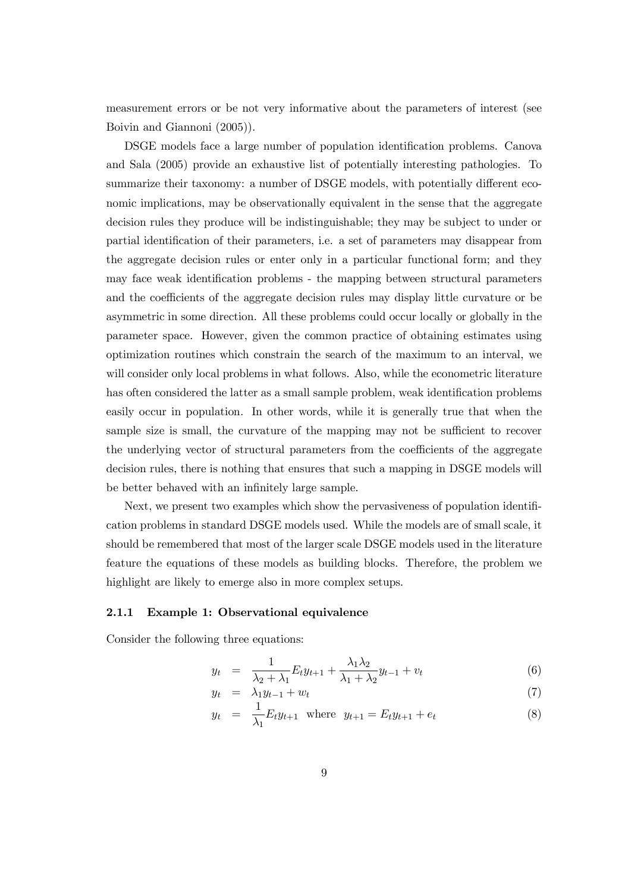measurement errors or be not very informative about the parameters of interest (see Boivin and Giannoni (2005)).

DSGE models face a large number of population identification problems. Canova and Sala (2005) provide an exhaustive list of potentially interesting pathologies. To summarize their taxonomy: a number of DSGE models, with potentially different economic implications, may be observationally equivalent in the sense that the aggregate decision rules they produce will be indistinguishable; they may be subject to under or partial identification of their parameters, i.e. a set of parameters may disappear from the aggregate decision rules or enter only in a particular functional form; and they may face weak identification problems - the mapping between structural parameters and the coefficients of the aggregate decision rules may display little curvature or be asymmetric in some direction. All these problems could occur locally or globally in the parameter space. However, given the common practice of obtaining estimates using optimization routines which constrain the search of the maximum to an interval, we will consider only local problems in what follows. Also, while the econometric literature has often considered the latter as a small sample problem, weak identification problems easily occur in population. In other words, while it is generally true that when the sample size is small, the curvature of the mapping may not be sufficient to recover the underlying vector of structural parameters from the coefficients of the aggregate decision rules, there is nothing that ensures that such a mapping in DSGE models will be better behaved with an infinitely large sample.

Next, we present two examples which show the pervasiveness of population identification problems in standard DSGE models used. While the models are of small scale, it should be remembered that most of the larger scale DSGE models used in the literature feature the equations of these models as building blocks. Therefore, the problem we highlight are likely to emerge also in more complex setups.

### 2.1.1 Example 1: Observational equivalence

Consider the following three equations:

$$
y_t = \frac{1}{\lambda_2 + \lambda_1} E_t y_{t+1} + \frac{\lambda_1 \lambda_2}{\lambda_1 + \lambda_2} y_{t-1} + v_t
$$
 (6)

$$
y_t = \lambda_1 y_{t-1} + w_t \tag{7}
$$

$$
y_t = \frac{1}{\lambda_1} E_t y_{t+1} \text{ where } y_{t+1} = E_t y_{t+1} + e_t \tag{8}
$$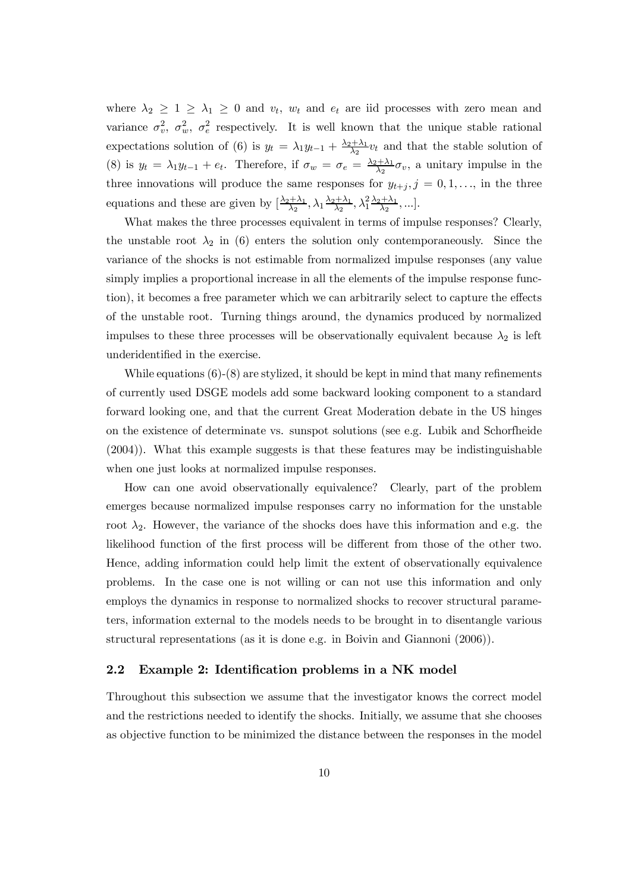where  $\lambda_2 \geq 1 \geq \lambda_1 \geq 0$  and  $v_t$ ,  $w_t$  and  $e_t$  are iid processes with zero mean and variance  $\sigma_v^2$ ,  $\sigma_w^2$ ,  $\sigma_e^2$  respectively. It is well known that the unique stable rational expectations solution of (6) is  $y_t = \lambda_1 y_{t-1} + \frac{\lambda_2 + \lambda_1}{\lambda_2} v_t$  and that the stable solution of (8) is  $y_t = \lambda_1 y_{t-1} + e_t$ . Therefore, if  $\sigma_w = \sigma_e = \frac{\lambda_2 + \lambda_1}{\lambda_2} \sigma_v$ , a unitary impulse in the three innovations will produce the same responses for  $y_{t+j}$ ,  $j = 0, 1, \ldots$ , in the three equations and these are given by  $\left[\frac{\lambda_2+\lambda_1}{\lambda_2}, \lambda_1 \frac{\lambda_2+\lambda_1}{\lambda_2}, \lambda_1^2 \frac{\lambda_2+\lambda_1}{\lambda_2}, ...\right]$ .

What makes the three processes equivalent in terms of impulse responses? Clearly, the unstable root  $\lambda_2$  in (6) enters the solution only contemporaneously. Since the variance of the shocks is not estimable from normalized impulse responses (any value simply implies a proportional increase in all the elements of the impulse response function), it becomes a free parameter which we can arbitrarily select to capture the effects of the unstable root. Turning things around, the dynamics produced by normalized impulses to these three processes will be observationally equivalent because  $\lambda_2$  is left underidentified in the exercise.

While equations  $(6)-(8)$  are stylized, it should be kept in mind that many refinements of currently used DSGE models add some backward looking component to a standard forward looking one, and that the current Great Moderation debate in the US hinges on the existence of determinate vs. sunspot solutions (see e.g. Lubik and Schorfheide (2004)). What this example suggests is that these features may be indistinguishable when one just looks at normalized impulse responses.

How can one avoid observationally equivalence? Clearly, part of the problem emerges because normalized impulse responses carry no information for the unstable root  $\lambda_2$ . However, the variance of the shocks does have this information and e.g. the likelihood function of the first process will be different from those of the other two. Hence, adding information could help limit the extent of observationally equivalence problems. In the case one is not willing or can not use this information and only employs the dynamics in response to normalized shocks to recover structural parameters, information external to the models needs to be brought in to disentangle various structural representations (as it is done e.g. in Boivin and Giannoni (2006)).

### 2.2 Example 2: Identification problems in a NK model

Throughout this subsection we assume that the investigator knows the correct model and the restrictions needed to identify the shocks. Initially, we assume that she chooses as objective function to be minimized the distance between the responses in the model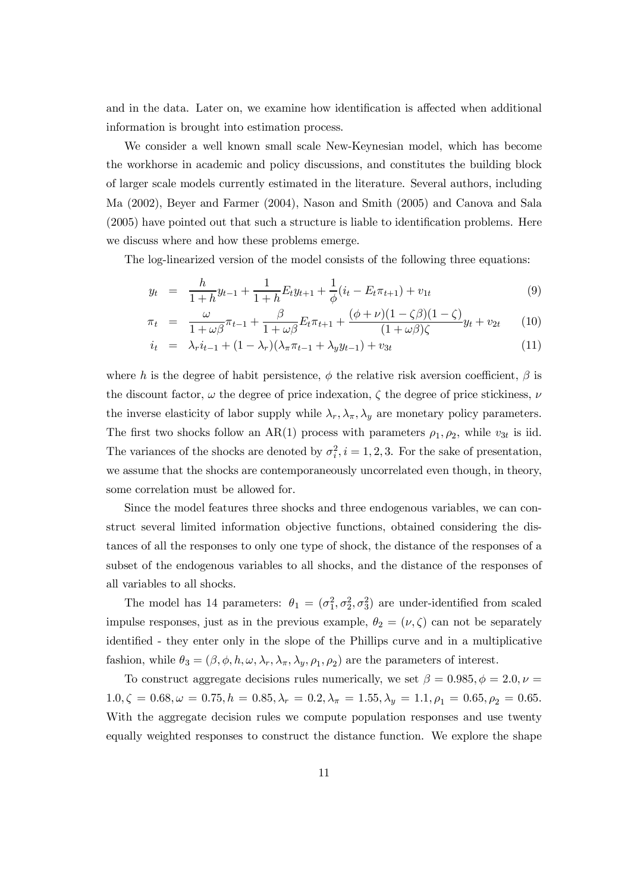and in the data. Later on, we examine how identification is affected when additional information is brought into estimation process.

We consider a well known small scale New-Keynesian model, which has become the workhorse in academic and policy discussions, and constitutes the building block of larger scale models currently estimated in the literature. Several authors, including Ma (2002), Beyer and Farmer (2004), Nason and Smith (2005) and Canova and Sala (2005) have pointed out that such a structure is liable to identification problems. Here we discuss where and how these problems emerge.

The log-linearized version of the model consists of the following three equations:

$$
y_t = \frac{h}{1+h} y_{t-1} + \frac{1}{1+h} E_t y_{t+1} + \frac{1}{\phi} (i_t - E_t \pi_{t+1}) + v_{1t} \tag{9}
$$

$$
\pi_t = \frac{\omega}{1 + \omega \beta} \pi_{t-1} + \frac{\beta}{1 + \omega \beta} E_t \pi_{t+1} + \frac{(\phi + \nu)(1 - \zeta \beta)(1 - \zeta)}{(1 + \omega \beta)\zeta} y_t + v_{2t} \tag{10}
$$

$$
i_t = \lambda_r i_{t-1} + (1 - \lambda_r)(\lambda_\pi \pi_{t-1} + \lambda_y y_{t-1}) + v_{3t}
$$
\n(11)

where h is the degree of habit persistence,  $\phi$  the relative risk aversion coefficient,  $\beta$  is the discount factor,  $\omega$  the degree of price indexation,  $\zeta$  the degree of price stickiness,  $\nu$ the inverse elasticity of labor supply while  $\lambda_r, \lambda_\pi, \lambda_y$  are monetary policy parameters. The first two shocks follow an AR(1) process with parameters  $\rho_1, \rho_2$ , while  $v_{3t}$  is iid. The variances of the shocks are denoted by  $\sigma_i^2$ ,  $i = 1, 2, 3$ . For the sake of presentation, we assume that the shocks are contemporaneously uncorrelated even though, in theory, some correlation must be allowed for.

Since the model features three shocks and three endogenous variables, we can construct several limited information objective functions, obtained considering the distances of all the responses to only one type of shock, the distance of the responses of a subset of the endogenous variables to all shocks, and the distance of the responses of all variables to all shocks.

The model has 14 parameters:  $\theta_1 = (\sigma_1^2, \sigma_2^2, \sigma_3^2)$  are under-identified from scaled impulse responses, just as in the previous example,  $\theta_2 = (\nu, \zeta)$  can not be separately identified - they enter only in the slope of the Phillips curve and in a multiplicative fashion, while  $\theta_3 = (\beta, \phi, h, \omega, \lambda_r, \lambda_\pi, \lambda_y, \rho_1, \rho_2)$  are the parameters of interest.

To construct aggregate decisions rules numerically, we set  $\beta = 0.985, \phi = 2.0, \nu =$  $1.0, \zeta = 0.68, \omega = 0.75, h = 0.85, \lambda_r = 0.2, \lambda_\pi = 1.55, \lambda_y = 1.1, \rho_1 = 0.65, \rho_2 = 0.65.$ With the aggregate decision rules we compute population responses and use twenty equally weighted responses to construct the distance function. We explore the shape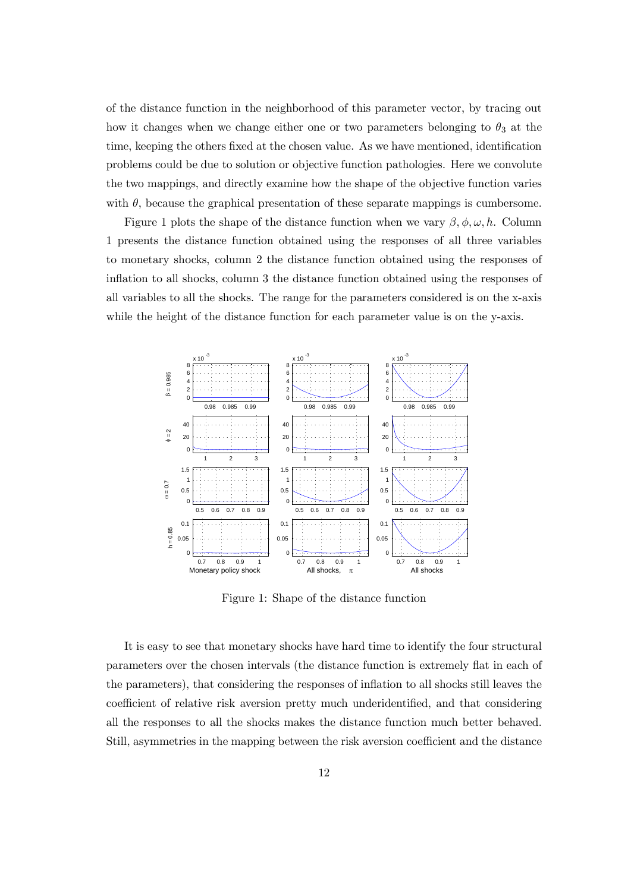of the distance function in the neighborhood of this parameter vector, by tracing out how it changes when we change either one or two parameters belonging to  $\theta_3$  at the time, keeping the others fixed at the chosen value. As we have mentioned, identification problems could be due to solution or objective function pathologies. Here we convolute the two mappings, and directly examine how the shape of the objective function varies with  $\theta$ , because the graphical presentation of these separate mappings is cumbersome.

Figure 1 plots the shape of the distance function when we vary  $\beta$ ,  $\phi$ ,  $\omega$ , h. Column 1 presents the distance function obtained using the responses of all three variables to monetary shocks, column 2 the distance function obtained using the responses of inflation to all shocks, column 3 the distance function obtained using the responses of all variables to all the shocks. The range for the parameters considered is on the x-axis while the height of the distance function for each parameter value is on the y-axis.



Figure 1: Shape of the distance function

It is easy to see that monetary shocks have hard time to identify the four structural parameters over the chosen intervals (the distance function is extremely flat in each of the parameters), that considering the responses of inflation to all shocks still leaves the coefficient of relative risk aversion pretty much underidentified, and that considering all the responses to all the shocks makes the distance function much better behaved. Still, asymmetries in the mapping between the risk aversion coefficient and the distance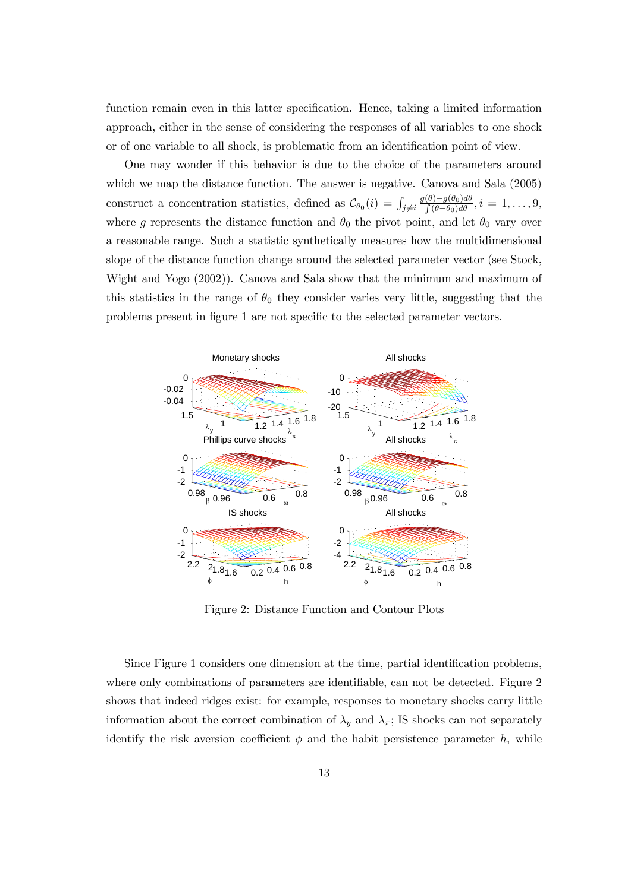function remain even in this latter specification. Hence, taking a limited information approach, either in the sense of considering the responses of all variables to one shock or of one variable to all shock, is problematic from an identification point of view.

One may wonder if this behavior is due to the choice of the parameters around which we map the distance function. The answer is negative. Canova and Sala (2005) construct a concentration statistics, defined as  $\mathcal{C}_{\theta_0}(i) = \int_{j \neq i}$  $\frac{g(\theta)-g(\theta_0)d\theta}{\int (\theta-\theta_0)d\theta}, i=1,\ldots,9,$ where g represents the distance function and  $\theta_0$  the pivot point, and let  $\theta_0$  vary over a reasonable range. Such a statistic synthetically measures how the multidimensional slope of the distance function change around the selected parameter vector (see Stock, Wight and Yogo (2002)). Canova and Sala show that the minimum and maximum of this statistics in the range of  $\theta_0$  they consider varies very little, suggesting that the problems present in figure 1 are not specific to the selected parameter vectors.



Figure 2: Distance Function and Contour Plots

Since Figure 1 considers one dimension at the time, partial identification problems, where only combinations of parameters are identifiable, can not be detected. Figure 2 shows that indeed ridges exist: for example, responses to monetary shocks carry little information about the correct combination of  $\lambda_y$  and  $\lambda_{\pi}$ ; IS shocks can not separately identify the risk aversion coefficient  $\phi$  and the habit persistence parameter h, while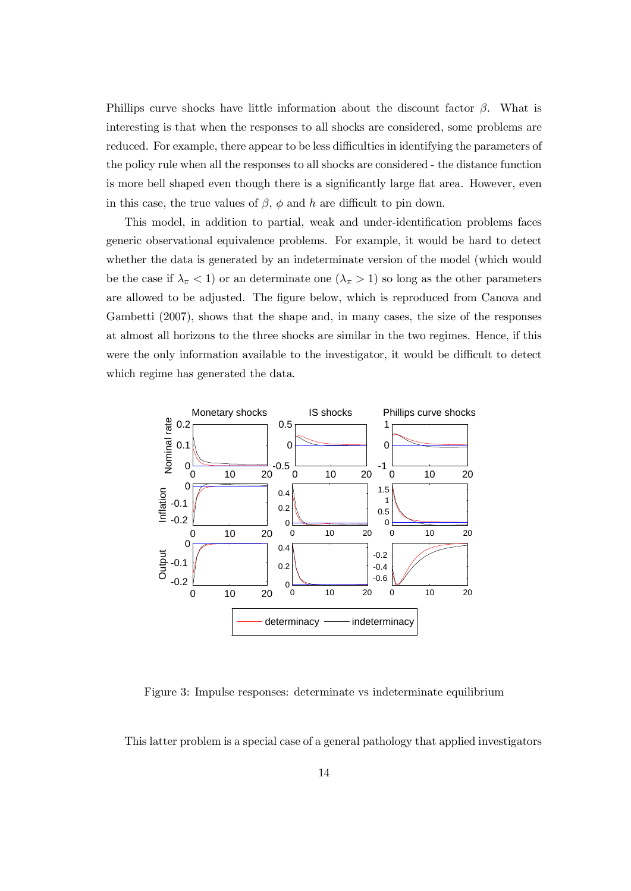Phillips curve shocks have little information about the discount factor  $\beta$ . What is interesting is that when the responses to all shocks are considered, some problems are reduced. For example, there appear to be less difficulties in identifying the parameters of the policy rule when all the responses to all shocks are considered - the distance function is more bell shaped even though there is a significantly large flat area. However, even in this case, the true values of  $\beta$ ,  $\phi$  and h are difficult to pin down.

This model, in addition to partial, weak and under-identification problems faces generic observational equivalence problems. For example, it would be hard to detect whether the data is generated by an indeterminate version of the model (which would be the case if  $\lambda_{\pi}$  < 1) or an determinate one  $(\lambda_{\pi} > 1)$  so long as the other parameters are allowed to be adjusted. The figure below, which is reproduced from Canova and Gambetti (2007), shows that the shape and, in many cases, the size of the responses at almost all horizons to the three shocks are similar in the two regimes. Hence, if this were the only information available to the investigator, it would be difficult to detect which regime has generated the data.



Figure 3: Impulse responses: determinate vs indeterminate equilibrium

This latter problem is a special case of a general pathology that applied investigators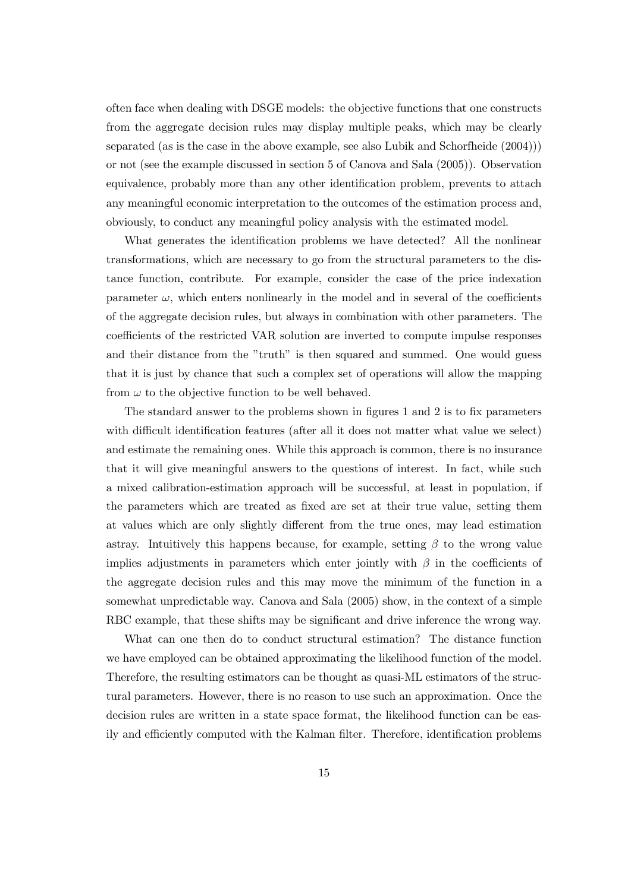often face when dealing with DSGE models: the objective functions that one constructs from the aggregate decision rules may display multiple peaks, which may be clearly separated (as is the case in the above example, see also Lubik and Schorfheide (2004))) or not (see the example discussed in section 5 of Canova and Sala (2005)). Observation equivalence, probably more than any other identification problem, prevents to attach any meaningful economic interpretation to the outcomes of the estimation process and, obviously, to conduct any meaningful policy analysis with the estimated model.

What generates the identification problems we have detected? All the nonlinear transformations, which are necessary to go from the structural parameters to the distance function, contribute. For example, consider the case of the price indexation parameter  $\omega$ , which enters nonlinearly in the model and in several of the coefficients of the aggregate decision rules, but always in combination with other parameters. The coefficients of the restricted VAR solution are inverted to compute impulse responses and their distance from the "truth" is then squared and summed. One would guess that it is just by chance that such a complex set of operations will allow the mapping from  $\omega$  to the objective function to be well behaved.

The standard answer to the problems shown in figures 1 and 2 is to fix parameters with difficult identification features (after all it does not matter what value we select) and estimate the remaining ones. While this approach is common, there is no insurance that it will give meaningful answers to the questions of interest. In fact, while such a mixed calibration-estimation approach will be successful, at least in population, if the parameters which are treated as fixed are set at their true value, setting them at values which are only slightly different from the true ones, may lead estimation astray. Intuitively this happens because, for example, setting  $\beta$  to the wrong value implies adjustments in parameters which enter jointly with  $\beta$  in the coefficients of the aggregate decision rules and this may move the minimum of the function in a somewhat unpredictable way. Canova and Sala (2005) show, in the context of a simple RBC example, that these shifts may be significant and drive inference the wrong way.

What can one then do to conduct structural estimation? The distance function we have employed can be obtained approximating the likelihood function of the model. Therefore, the resulting estimators can be thought as quasi-ML estimators of the structural parameters. However, there is no reason to use such an approximation. Once the decision rules are written in a state space format, the likelihood function can be easily and efficiently computed with the Kalman filter. Therefore, identification problems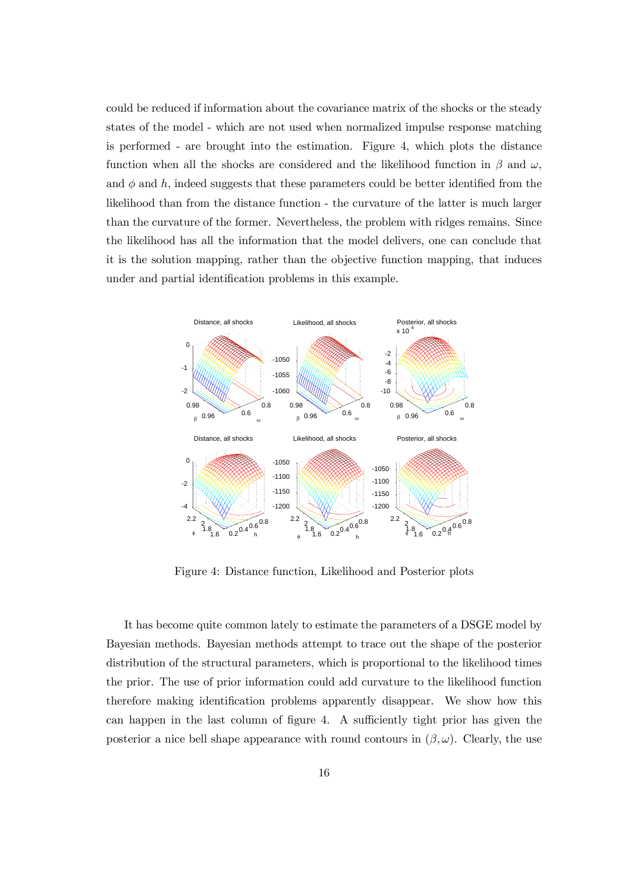could be reduced if information about the covariance matrix of the shocks or the steady states of the model - which are not used when normalized impulse response matching is performed - are brought into the estimation. Figure 4, which plots the distance function when all the shocks are considered and the likelihood function in  $\beta$  and  $\omega$ , and  $\phi$  and h, indeed suggests that these parameters could be better identified from the likelihood than from the distance function - the curvature of the latter is much larger than the curvature of the former. Nevertheless, the problem with ridges remains. Since the likelihood has all the information that the model delivers, one can conclude that it is the solution mapping, rather than the objective function mapping, that induces under and partial identification problems in this example.



Figure 4: Distance function, Likelihood and Posterior plots

It has become quite common lately to estimate the parameters of a DSGE model by Bayesian methods. Bayesian methods attempt to trace out the shape of the posterior distribution of the structural parameters, which is proportional to the likelihood times the prior. The use of prior information could add curvature to the likelihood function therefore making identification problems apparently disappear. We show how this can happen in the last column of figure 4. A sufficiently tight prior has given the posterior a nice bell shape appearance with round contours in  $(\beta, \omega)$ . Clearly, the use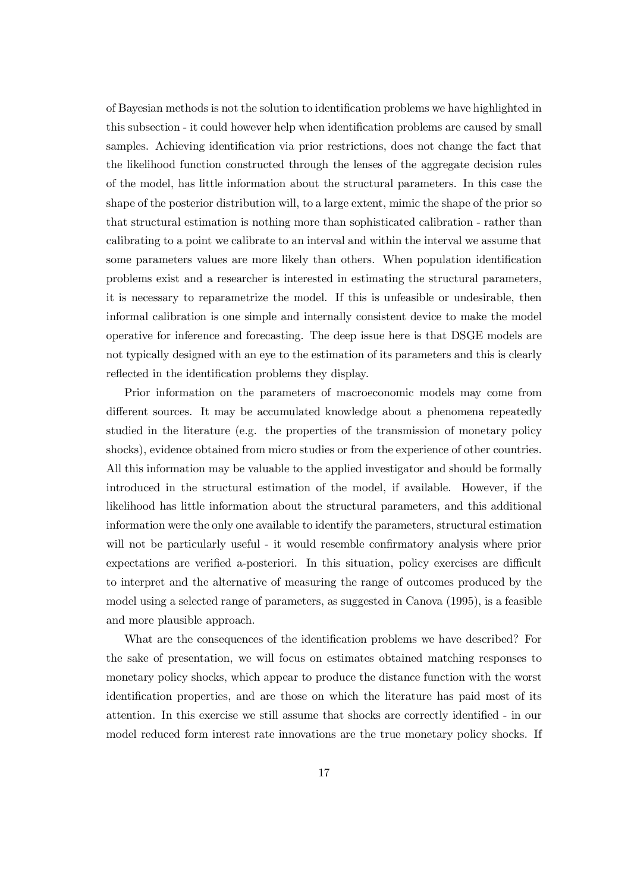of Bayesian methods is not the solution to identification problems we have highlighted in this subsection - it could however help when identification problems are caused by small samples. Achieving identification via prior restrictions, does not change the fact that the likelihood function constructed through the lenses of the aggregate decision rules of the model, has little information about the structural parameters. In this case the shape of the posterior distribution will, to a large extent, mimic the shape of the prior so that structural estimation is nothing more than sophisticated calibration - rather than calibrating to a point we calibrate to an interval and within the interval we assume that some parameters values are more likely than others. When population identification problems exist and a researcher is interested in estimating the structural parameters, it is necessary to reparametrize the model. If this is unfeasible or undesirable, then informal calibration is one simple and internally consistent device to make the model operative for inference and forecasting. The deep issue here is that DSGE models are not typically designed with an eye to the estimation of its parameters and this is clearly reflected in the identification problems they display.

Prior information on the parameters of macroeconomic models may come from different sources. It may be accumulated knowledge about a phenomena repeatedly studied in the literature (e.g. the properties of the transmission of monetary policy shocks), evidence obtained from micro studies or from the experience of other countries. All this information may be valuable to the applied investigator and should be formally introduced in the structural estimation of the model, if available. However, if the likelihood has little information about the structural parameters, and this additional information were the only one available to identify the parameters, structural estimation will not be particularly useful - it would resemble confirmatory analysis where prior expectations are verified a-posteriori. In this situation, policy exercises are difficult to interpret and the alternative of measuring the range of outcomes produced by the model using a selected range of parameters, as suggested in Canova (1995), is a feasible and more plausible approach.

What are the consequences of the identification problems we have described? For the sake of presentation, we will focus on estimates obtained matching responses to monetary policy shocks, which appear to produce the distance function with the worst identification properties, and are those on which the literature has paid most of its attention. In this exercise we still assume that shocks are correctly identified - in our model reduced form interest rate innovations are the true monetary policy shocks. If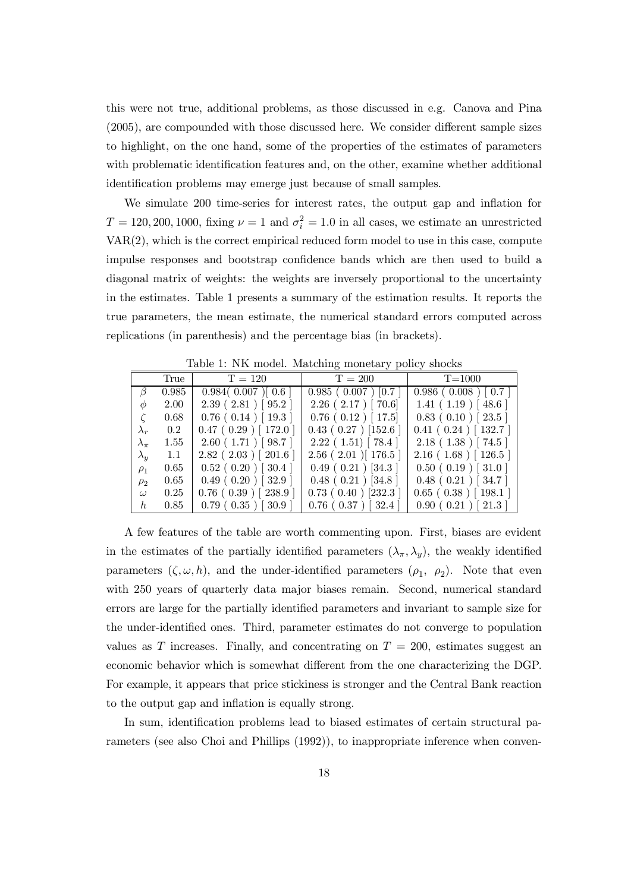this were not true, additional problems, as those discussed in e.g. Canova and Pina (2005), are compounded with those discussed here. We consider different sample sizes to highlight, on the one hand, some of the properties of the estimates of parameters with problematic identification features and, on the other, examine whether additional identification problems may emerge just because of small samples.

We simulate 200 time-series for interest rates, the output gap and inflation for  $T = 120, 200, 1000,$  fixing  $\nu = 1$  and  $\sigma_i^2 = 1.0$  in all cases, we estimate an unrestricted VAR(2), which is the correct empirical reduced form model to use in this case, compute impulse responses and bootstrap confidence bands which are then used to build a diagonal matrix of weights: the weights are inversely proportional to the uncertainty in the estimates. Table 1 presents a summary of the estimation results. It reports the true parameters, the mean estimate, the numerical standard errors computed across replications (in parenthesis) and the percentage bias (in brackets).

| rapic 1. Tux model. Matering monetary policy bhocks |         |                               |                              |                               |
|-----------------------------------------------------|---------|-------------------------------|------------------------------|-------------------------------|
|                                                     | True    | $T = 120$                     | $T = 200$                    | $T = 1000$                    |
| В                                                   | 0.985   | 0.984( 0.007 ) [ 0.6 ]        | 0.985(0.007)[0.7]            | $0.986$ ( $0.008$ ) [ $0.7$ ] |
| Φ                                                   | 2.00    | $2.39(2.81)$ [95.2]           | $2.26$ (2.17) [70.6]         | 1.41 $(1.19)$ [48.6]          |
|                                                     | 0.68    | $0.76$ ( $0.14$ ) [ $19.3$ ]  | $0.76$ ( $0.12$ ) [ 17.5]    | 0.83(0.10)[23.5]              |
| $\lambda_r$                                         | $0.2\,$ | $0.47$ ( $0.29$ ) [ 172.0 ]   | $0.43$ ( $0.27$ ) [152.6 ]   | $0.41$ ( $0.24$ ) [ $132.7$ ] |
| $\lambda_\pi$                                       | 1.55    | $2.60(1.71)$ [98.7]           | 2.22(1.51) [78.4]            | 2.18(1.38) [74.5]             |
| $\lambda_u$                                         | 1.1     | $2.82$ (2.03) [201.6]         | $2.56$ ( $2.01$ )[ $176.5$ ] | 2.16(1.68)[126.5]             |
| $\rho_1$                                            | 0.65    | $0.52$ ( $0.20$ ) [ $30.4$ ]  | $0.49$ ( $0.21$ ) [34.3]     | $0.50(0.19)$ [ 31.0 ]         |
| $\rho_2$                                            | 0.65    | $0.49$ ( $0.20$ ) [ $32.9$ ]  | $0.48$ ( $0.21$ ) [34.8 ]    | $0.48$ ( $0.21$ ) [ $34.7$ ]  |
| $\omega$                                            | 0.25    | $0.76$ ( $0.39$ ) [ $238.9$ ] | 0.73(0.40)[232.3]            | $0.65$ ( $0.38$ ) [ $198.1$ ] |
| $\hbar$                                             | 0.85    | $0.79$ ( $0.35$ ) [ $30.9$ ]  | $0.76$ ( $0.37$ )   $32.4$   | $0.90(0.21)$   21.3           |

Table 1: NK model. Matching monetary policy shocks

A few features of the table are worth commenting upon. First, biases are evident in the estimates of the partially identified parameters  $(\lambda_{\pi}, \lambda_{y})$ , the weakly identified parameters  $(\zeta, \omega, h)$ , and the under-identified parameters  $(\rho_1, \rho_2)$ . Note that even with 250 years of quarterly data major biases remain. Second, numerical standard errors are large for the partially identified parameters and invariant to sample size for the under-identified ones. Third, parameter estimates do not converge to population values as T increases. Finally, and concentrating on  $T = 200$ , estimates suggest an economic behavior which is somewhat different from the one characterizing the DGP. For example, it appears that price stickiness is stronger and the Central Bank reaction to the output gap and inflation is equally strong.

In sum, identification problems lead to biased estimates of certain structural parameters (see also Choi and Phillips (1992)), to inappropriate inference when conven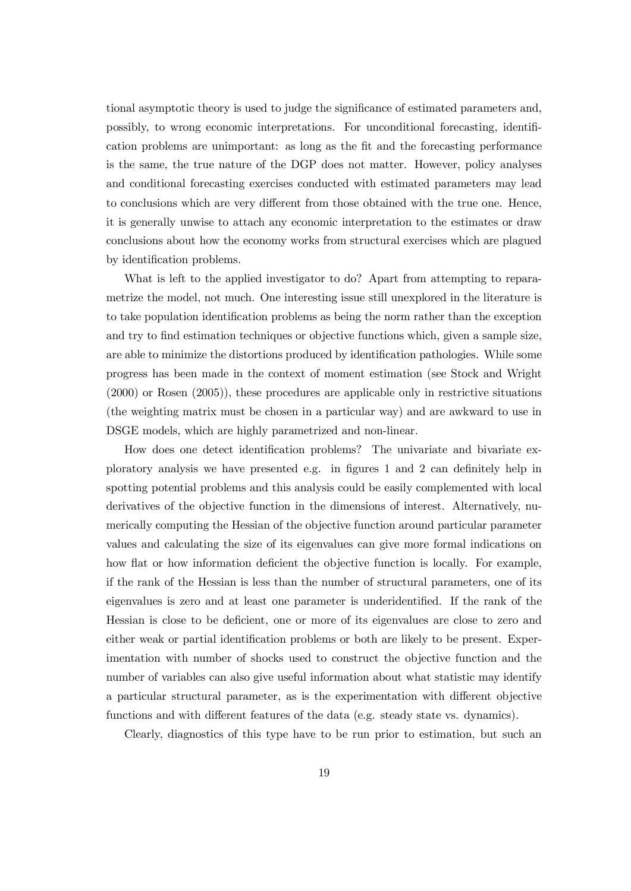tional asymptotic theory is used to judge the significance of estimated parameters and, possibly, to wrong economic interpretations. For unconditional forecasting, identification problems are unimportant: as long as the fit and the forecasting performance is the same, the true nature of the DGP does not matter. However, policy analyses and conditional forecasting exercises conducted with estimated parameters may lead to conclusions which are very different from those obtained with the true one. Hence, it is generally unwise to attach any economic interpretation to the estimates or draw conclusions about how the economy works from structural exercises which are plagued by identification problems.

What is left to the applied investigator to do? Apart from attempting to reparametrize the model, not much. One interesting issue still unexplored in the literature is to take population identification problems as being the norm rather than the exception and try to find estimation techniques or objective functions which, given a sample size, are able to minimize the distortions produced by identification pathologies. While some progress has been made in the context of moment estimation (see Stock and Wright (2000) or Rosen (2005)), these procedures are applicable only in restrictive situations (the weighting matrix must be chosen in a particular way) and are awkward to use in DSGE models, which are highly parametrized and non-linear.

How does one detect identification problems? The univariate and bivariate exploratory analysis we have presented e.g. in figures 1 and 2 can definitely help in spotting potential problems and this analysis could be easily complemented with local derivatives of the objective function in the dimensions of interest. Alternatively, numerically computing the Hessian of the objective function around particular parameter values and calculating the size of its eigenvalues can give more formal indications on how flat or how information deficient the objective function is locally. For example, if the rank of the Hessian is less than the number of structural parameters, one of its eigenvalues is zero and at least one parameter is underidentified. If the rank of the Hessian is close to be deficient, one or more of its eigenvalues are close to zero and either weak or partial identification problems or both are likely to be present. Experimentation with number of shocks used to construct the objective function and the number of variables can also give useful information about what statistic may identify a particular structural parameter, as is the experimentation with different objective functions and with different features of the data (e.g. steady state vs. dynamics).

Clearly, diagnostics of this type have to be run prior to estimation, but such an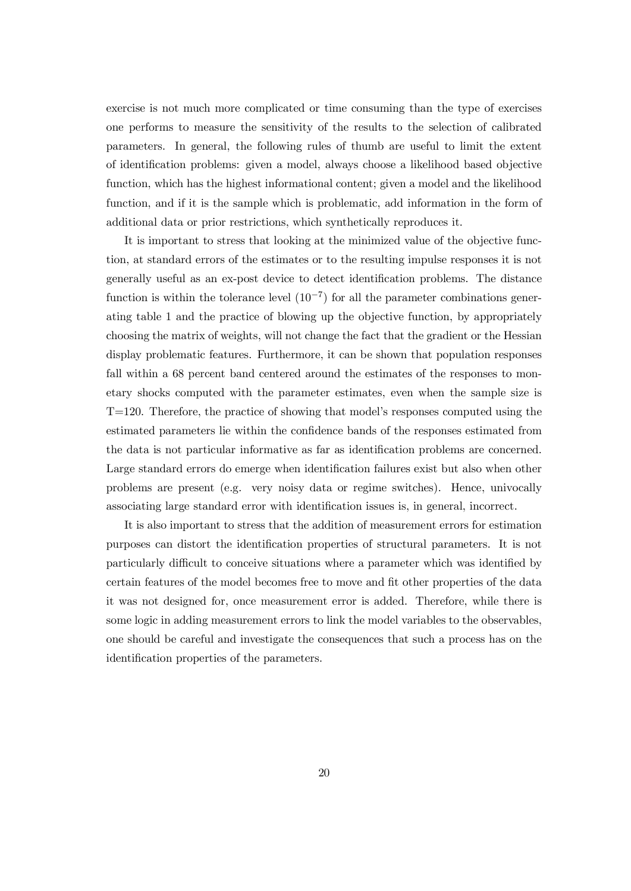exercise is not much more complicated or time consuming than the type of exercises one performs to measure the sensitivity of the results to the selection of calibrated parameters. In general, the following rules of thumb are useful to limit the extent of identification problems: given a model, always choose a likelihood based objective function, which has the highest informational content; given a model and the likelihood function, and if it is the sample which is problematic, add information in the form of additional data or prior restrictions, which synthetically reproduces it.

It is important to stress that looking at the minimized value of the objective function, at standard errors of the estimates or to the resulting impulse responses it is not generally useful as an ex-post device to detect identification problems. The distance function is within the tolerance level  $(10^{-7})$  for all the parameter combinations generating table 1 and the practice of blowing up the objective function, by appropriately choosing the matrix of weights, will not change the fact that the gradient or the Hessian display problematic features. Furthermore, it can be shown that population responses fall within a 68 percent band centered around the estimates of the responses to monetary shocks computed with the parameter estimates, even when the sample size is T=120. Therefore, the practice of showing that model's responses computed using the estimated parameters lie within the confidence bands of the responses estimated from the data is not particular informative as far as identification problems are concerned. Large standard errors do emerge when identification failures exist but also when other problems are present (e.g. very noisy data or regime switches). Hence, univocally associating large standard error with identification issues is, in general, incorrect.

It is also important to stress that the addition of measurement errors for estimation purposes can distort the identification properties of structural parameters. It is not particularly difficult to conceive situations where a parameter which was identified by certain features of the model becomes free to move and fit other properties of the data it was not designed for, once measurement error is added. Therefore, while there is some logic in adding measurement errors to link the model variables to the observables, one should be careful and investigate the consequences that such a process has on the identification properties of the parameters.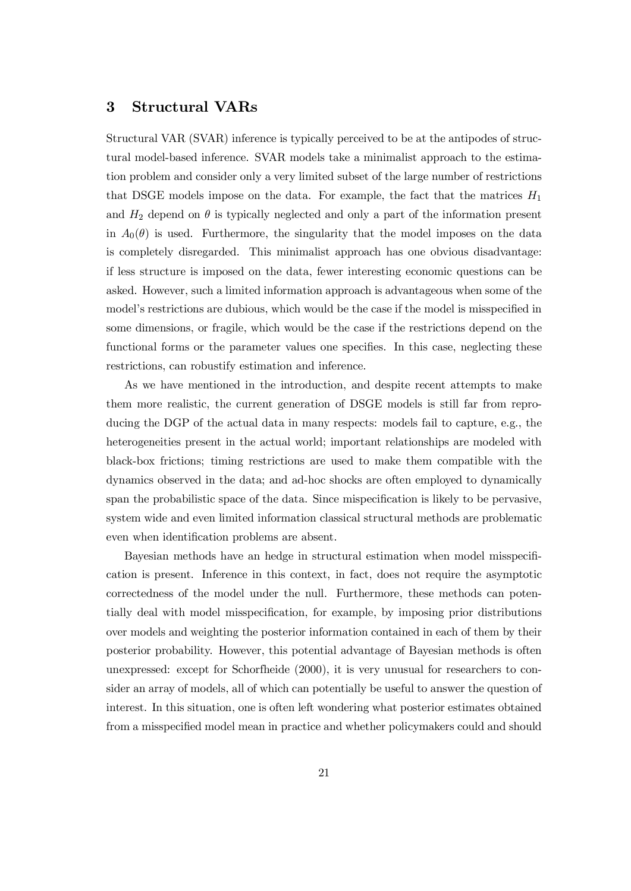## 3 Structural VARs

Structural VAR (SVAR) inference is typically perceived to be at the antipodes of structural model-based inference. SVAR models take a minimalist approach to the estimation problem and consider only a very limited subset of the large number of restrictions that DSGE models impose on the data. For example, the fact that the matrices  $H_1$ and  $H_2$  depend on  $\theta$  is typically neglected and only a part of the information present in  $A_0(\theta)$  is used. Furthermore, the singularity that the model imposes on the data is completely disregarded. This minimalist approach has one obvious disadvantage: if less structure is imposed on the data, fewer interesting economic questions can be asked. However, such a limited information approach is advantageous when some of the model's restrictions are dubious, which would be the case if the model is misspecified in some dimensions, or fragile, which would be the case if the restrictions depend on the functional forms or the parameter values one specifies. In this case, neglecting these restrictions, can robustify estimation and inference.

As we have mentioned in the introduction, and despite recent attempts to make them more realistic, the current generation of DSGE models is still far from reproducing the DGP of the actual data in many respects: models fail to capture, e.g., the heterogeneities present in the actual world; important relationships are modeled with black-box frictions; timing restrictions are used to make them compatible with the dynamics observed in the data; and ad-hoc shocks are often employed to dynamically span the probabilistic space of the data. Since mispecification is likely to be pervasive, system wide and even limited information classical structural methods are problematic even when identification problems are absent.

Bayesian methods have an hedge in structural estimation when model misspecification is present. Inference in this context, in fact, does not require the asymptotic correctedness of the model under the null. Furthermore, these methods can potentially deal with model misspecification, for example, by imposing prior distributions over models and weighting the posterior information contained in each of them by their posterior probability. However, this potential advantage of Bayesian methods is often unexpressed: except for Schorfheide (2000), it is very unusual for researchers to consider an array of models, all of which can potentially be useful to answer the question of interest. In this situation, one is often left wondering what posterior estimates obtained from a misspecified model mean in practice and whether policymakers could and should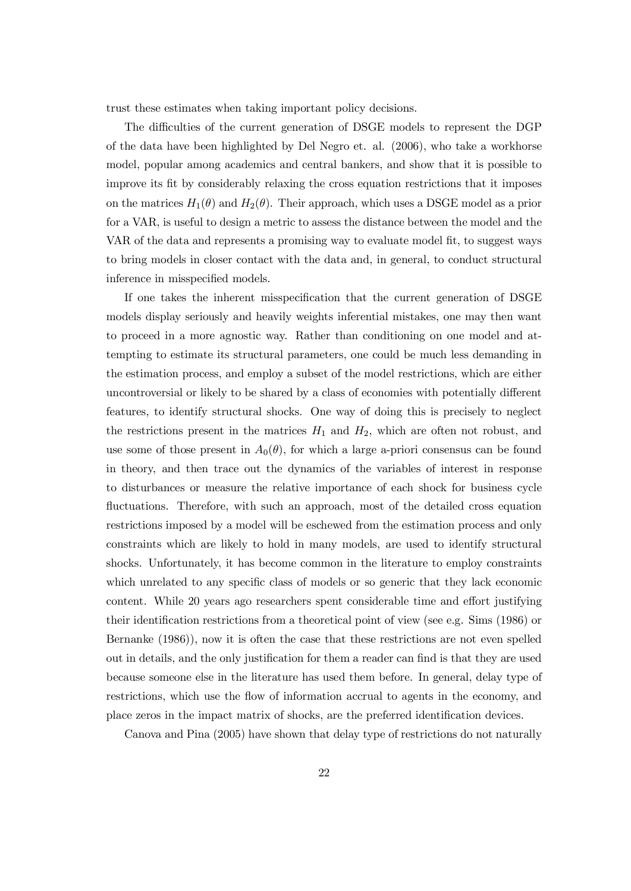trust these estimates when taking important policy decisions.

The difficulties of the current generation of DSGE models to represent the DGP of the data have been highlighted by Del Negro et. al. (2006), who take a workhorse model, popular among academics and central bankers, and show that it is possible to improve its fit by considerably relaxing the cross equation restrictions that it imposes on the matrices  $H_1(\theta)$  and  $H_2(\theta)$ . Their approach, which uses a DSGE model as a prior for a VAR, is useful to design a metric to assess the distance between the model and the VAR of the data and represents a promising way to evaluate model fit, to suggest ways to bring models in closer contact with the data and, in general, to conduct structural inference in misspecified models.

If one takes the inherent misspecification that the current generation of DSGE models display seriously and heavily weights inferential mistakes, one may then want to proceed in a more agnostic way. Rather than conditioning on one model and attempting to estimate its structural parameters, one could be much less demanding in the estimation process, and employ a subset of the model restrictions, which are either uncontroversial or likely to be shared by a class of economies with potentially different features, to identify structural shocks. One way of doing this is precisely to neglect the restrictions present in the matrices  $H_1$  and  $H_2$ , which are often not robust, and use some of those present in  $A_0(\theta)$ , for which a large a-priori consensus can be found in theory, and then trace out the dynamics of the variables of interest in response to disturbances or measure the relative importance of each shock for business cycle fluctuations. Therefore, with such an approach, most of the detailed cross equation restrictions imposed by a model will be eschewed from the estimation process and only constraints which are likely to hold in many models, are used to identify structural shocks. Unfortunately, it has become common in the literature to employ constraints which unrelated to any specific class of models or so generic that they lack economic content. While 20 years ago researchers spent considerable time and effort justifying their identification restrictions from a theoretical point of view (see e.g. Sims (1986) or Bernanke (1986)), now it is often the case that these restrictions are not even spelled out in details, and the only justification for them a reader can find is that they are used because someone else in the literature has used them before. In general, delay type of restrictions, which use the flow of information accrual to agents in the economy, and place zeros in the impact matrix of shocks, are the preferred identification devices.

Canova and Pina (2005) have shown that delay type of restrictions do not naturally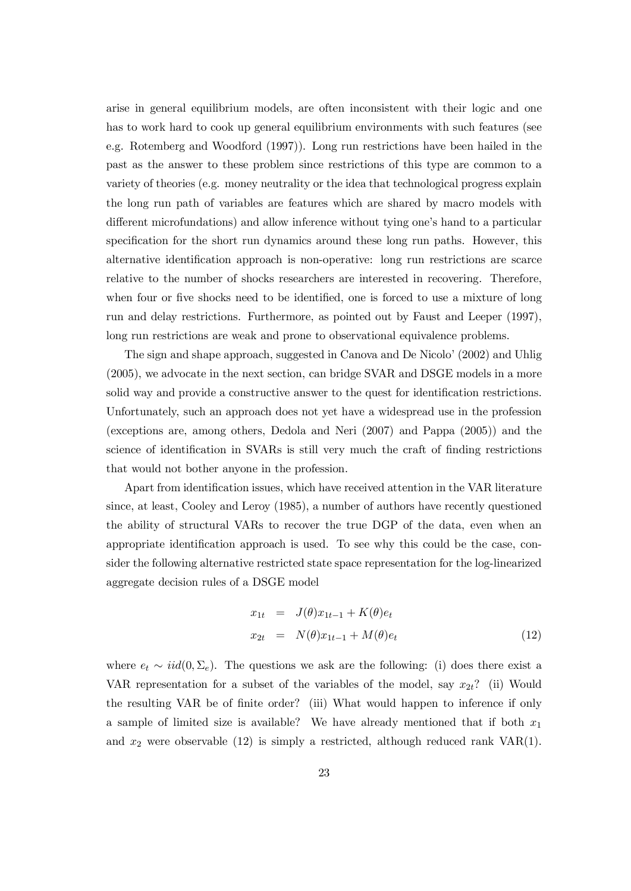arise in general equilibrium models, are often inconsistent with their logic and one has to work hard to cook up general equilibrium environments with such features (see e.g. Rotemberg and Woodford (1997)). Long run restrictions have been hailed in the past as the answer to these problem since restrictions of this type are common to a variety of theories (e.g. money neutrality or the idea that technological progress explain the long run path of variables are features which are shared by macro models with different microfundations) and allow inference without tying one's hand to a particular specification for the short run dynamics around these long run paths. However, this alternative identification approach is non-operative: long run restrictions are scarce relative to the number of shocks researchers are interested in recovering. Therefore, when four or five shocks need to be identified, one is forced to use a mixture of long run and delay restrictions. Furthermore, as pointed out by Faust and Leeper (1997), long run restrictions are weak and prone to observational equivalence problems.

The sign and shape approach, suggested in Canova and De Nicolo' (2002) and Uhlig (2005), we advocate in the next section, can bridge SVAR and DSGE models in a more solid way and provide a constructive answer to the quest for identification restrictions. Unfortunately, such an approach does not yet have a widespread use in the profession (exceptions are, among others, Dedola and Neri (2007) and Pappa (2005)) and the science of identification in SVARs is still very much the craft of finding restrictions that would not bother anyone in the profession.

Apart from identification issues, which have received attention in the VAR literature since, at least, Cooley and Leroy (1985), a number of authors have recently questioned the ability of structural VARs to recover the true DGP of the data, even when an appropriate identification approach is used. To see why this could be the case, consider the following alternative restricted state space representation for the log-linearized aggregate decision rules of a DSGE model

$$
x_{1t} = J(\theta)x_{1t-1} + K(\theta)e_t
$$
  
\n
$$
x_{2t} = N(\theta)x_{1t-1} + M(\theta)e_t
$$
\n(12)

where  $e_t \sim \text{iid}(0, \Sigma_e)$ . The questions we ask are the following: (i) does there exist a VAR representation for a subset of the variables of the model, say  $x_{2t}$ ? (ii) Would the resulting VAR be of finite order? (iii) What would happen to inference if only a sample of limited size is available? We have already mentioned that if both  $x_1$ and  $x_2$  were observable (12) is simply a restricted, although reduced rank VAR(1).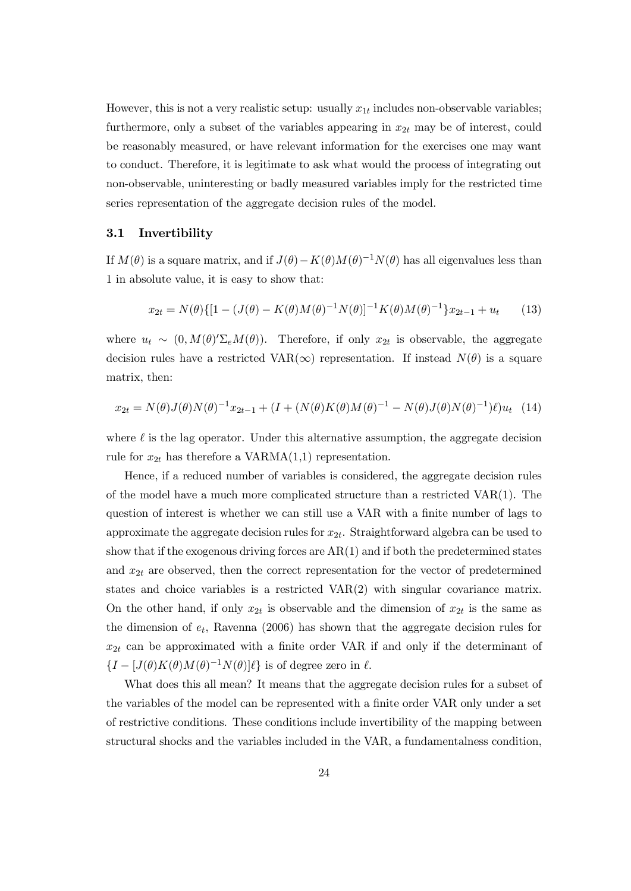However, this is not a very realistic setup: usually  $x_{1t}$  includes non-observable variables; furthermore, only a subset of the variables appearing in  $x_{2t}$  may be of interest, could be reasonably measured, or have relevant information for the exercises one may want to conduct. Therefore, it is legitimate to ask what would the process of integrating out non-observable, uninteresting or badly measured variables imply for the restricted time series representation of the aggregate decision rules of the model.

### 3.1 Invertibility

If  $M(\theta)$  is a square matrix, and if  $J(\theta) - K(\theta)M(\theta)^{-1}N(\theta)$  has all eigenvalues less than 1 in absolute value, it is easy to show that:

$$
x_{2t} = N(\theta)\{[1 - (J(\theta) - K(\theta)M(\theta)^{-1}N(\theta)]^{-1}K(\theta)M(\theta)^{-1}\}x_{2t-1} + u_t \qquad (13)
$$

where  $u_t \sim (0, M(\theta)^{\prime} \Sigma_e M(\theta))$ . Therefore, if only  $x_{2t}$  is observable, the aggregate decision rules have a restricted  $VAR(\infty)$  representation. If instead  $N(\theta)$  is a square matrix, then:

$$
x_{2t} = N(\theta)J(\theta)N(\theta)^{-1}x_{2t-1} + (I + (N(\theta)K(\theta)M(\theta)^{-1} - N(\theta)J(\theta)N(\theta)^{-1})\ell)u_t
$$
 (14)

where  $\ell$  is the lag operator. Under this alternative assumption, the aggregate decision rule for  $x_{2t}$  has therefore a VARMA $(1,1)$  representation.

Hence, if a reduced number of variables is considered, the aggregate decision rules of the model have a much more complicated structure than a restricted VAR(1). The question of interest is whether we can still use a VAR with a finite number of lags to approximate the aggregate decision rules for  $x_{2t}$ . Straightforward algebra can be used to show that if the exogenous driving forces are  $AR(1)$  and if both the predetermined states and  $x_{2t}$  are observed, then the correct representation for the vector of predetermined states and choice variables is a restricted VAR(2) with singular covariance matrix. On the other hand, if only  $x_{2t}$  is observable and the dimension of  $x_{2t}$  is the same as the dimension of  $e_t$ , Ravenna (2006) has shown that the aggregate decision rules for  $x_{2t}$  can be approximated with a finite order VAR if and only if the determinant of  ${I - [J(\theta)K(\theta)M(\theta)^{-1}N(\theta)]\ell}$  is of degree zero in  $\ell$ .

What does this all mean? It means that the aggregate decision rules for a subset of the variables of the model can be represented with a finite order VAR only under a set of restrictive conditions. These conditions include invertibility of the mapping between structural shocks and the variables included in the VAR, a fundamentalness condition,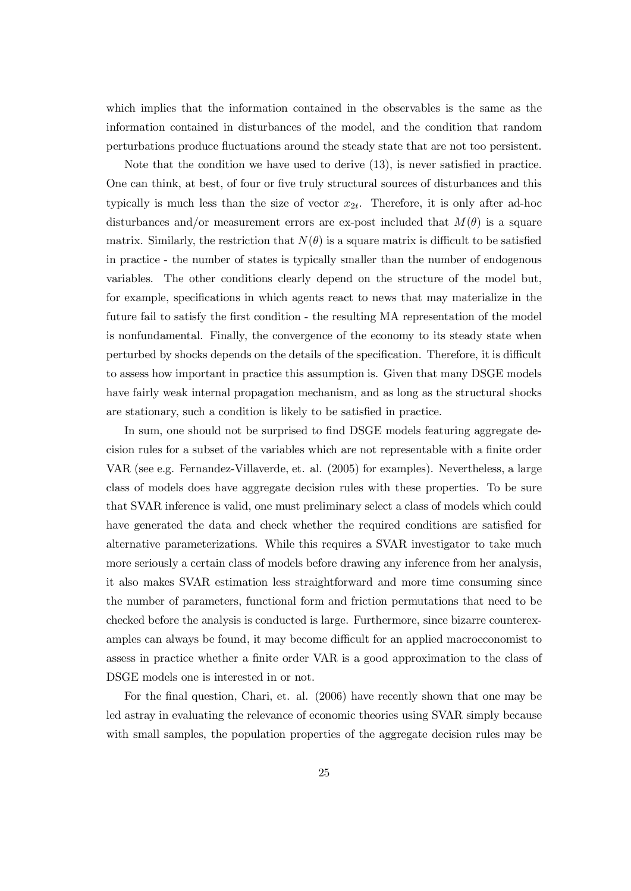which implies that the information contained in the observables is the same as the information contained in disturbances of the model, and the condition that random perturbations produce fluctuations around the steady state that are not too persistent.

Note that the condition we have used to derive (13), is never satisfied in practice. One can think, at best, of four or five truly structural sources of disturbances and this typically is much less than the size of vector  $x_{2t}$ . Therefore, it is only after ad-hoc disturbances and/or measurement errors are ex-post included that  $M(\theta)$  is a square matrix. Similarly, the restriction that  $N(\theta)$  is a square matrix is difficult to be satisfied in practice - the number of states is typically smaller than the number of endogenous variables. The other conditions clearly depend on the structure of the model but, for example, specifications in which agents react to news that may materialize in the future fail to satisfy the first condition - the resulting MA representation of the model is nonfundamental. Finally, the convergence of the economy to its steady state when perturbed by shocks depends on the details of the specification. Therefore, it is difficult to assess how important in practice this assumption is. Given that many DSGE models have fairly weak internal propagation mechanism, and as long as the structural shocks are stationary, such a condition is likely to be satisfied in practice.

In sum, one should not be surprised to find DSGE models featuring aggregate decision rules for a subset of the variables which are not representable with a finite order VAR (see e.g. Fernandez-Villaverde, et. al. (2005) for examples). Nevertheless, a large class of models does have aggregate decision rules with these properties. To be sure that SVAR inference is valid, one must preliminary select a class of models which could have generated the data and check whether the required conditions are satisfied for alternative parameterizations. While this requires a SVAR investigator to take much more seriously a certain class of models before drawing any inference from her analysis, it also makes SVAR estimation less straightforward and more time consuming since the number of parameters, functional form and friction permutations that need to be checked before the analysis is conducted is large. Furthermore, since bizarre counterexamples can always be found, it may become difficult for an applied macroeconomist to assess in practice whether a finite order VAR is a good approximation to the class of DSGE models one is interested in or not.

For the final question, Chari, et. al. (2006) have recently shown that one may be led astray in evaluating the relevance of economic theories using SVAR simply because with small samples, the population properties of the aggregate decision rules may be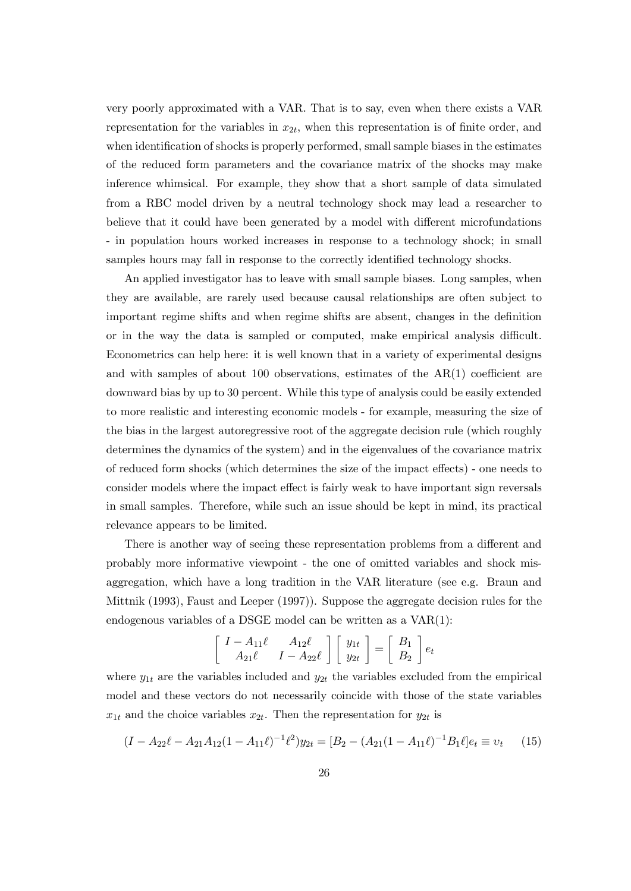very poorly approximated with a VAR. That is to say, even when there exists a VAR representation for the variables in  $x_{2t}$ , when this representation is of finite order, and when identification of shocks is properly performed, small sample biases in the estimates of the reduced form parameters and the covariance matrix of the shocks may make inference whimsical. For example, they show that a short sample of data simulated from a RBC model driven by a neutral technology shock may lead a researcher to believe that it could have been generated by a model with different microfundations - in population hours worked increases in response to a technology shock; in small samples hours may fall in response to the correctly identified technology shocks.

An applied investigator has to leave with small sample biases. Long samples, when they are available, are rarely used because causal relationships are often subject to important regime shifts and when regime shifts are absent, changes in the definition or in the way the data is sampled or computed, make empirical analysis difficult. Econometrics can help here: it is well known that in a variety of experimental designs and with samples of about 100 observations, estimates of the AR(1) coefficient are downward bias by up to 30 percent. While this type of analysis could be easily extended to more realistic and interesting economic models - for example, measuring the size of the bias in the largest autoregressive root of the aggregate decision rule (which roughly determines the dynamics of the system) and in the eigenvalues of the covariance matrix of reduced form shocks (which determines the size of the impact effects) - one needs to consider models where the impact effect is fairly weak to have important sign reversals in small samples. Therefore, while such an issue should be kept in mind, its practical relevance appears to be limited.

There is another way of seeing these representation problems from a different and probably more informative viewpoint - the one of omitted variables and shock misaggregation, which have a long tradition in the VAR literature (see e.g. Braun and Mittnik (1993), Faust and Leeper (1997)). Suppose the aggregate decision rules for the endogenous variables of a DSGE model can be written as a VAR(1):

$$
\begin{bmatrix} I - A_{11}\ell & A_{12}\ell \\ A_{21}\ell & I - A_{22}\ell \end{bmatrix} \begin{bmatrix} y_{1t} \\ y_{2t} \end{bmatrix} = \begin{bmatrix} B_1 \\ B_2 \end{bmatrix} e_t
$$

where  $y_{1t}$  are the variables included and  $y_{2t}$  the variables excluded from the empirical model and these vectors do not necessarily coincide with those of the state variables  $x_{1t}$  and the choice variables  $x_{2t}$ . Then the representation for  $y_{2t}$  is

$$
(I - A_{22}\ell - A_{21}A_{12}(1 - A_{11}\ell)^{-1}\ell^2)y_{2t} = [B_2 - (A_{21}(1 - A_{11}\ell)^{-1}B_1\ell]e_t \equiv v_t \quad (15)
$$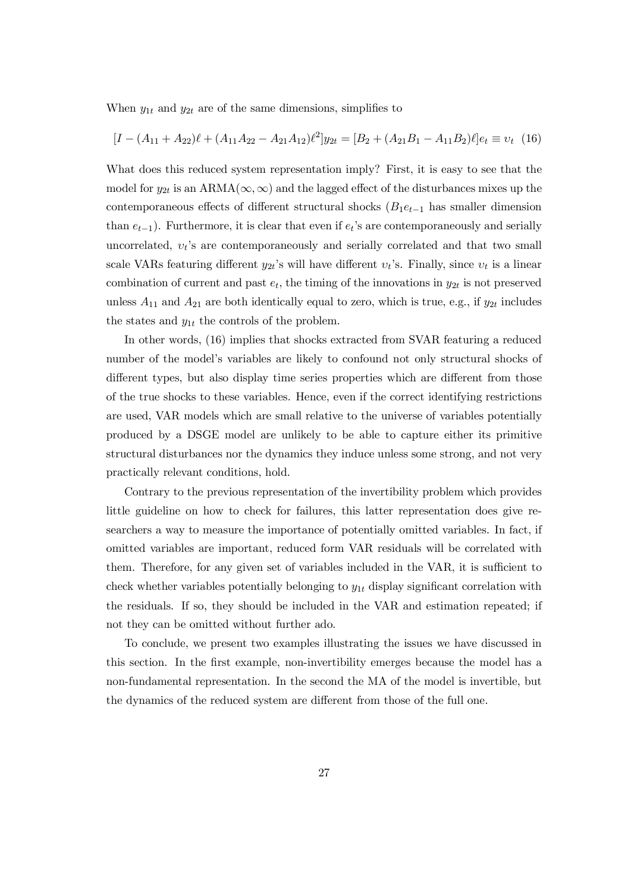When  $y_{1t}$  and  $y_{2t}$  are of the same dimensions, simplifies to

$$
[I - (A_{11} + A_{22})\ell + (A_{11}A_{22} - A_{21}A_{12})\ell^2]y_{2t} = [B_2 + (A_{21}B_1 - A_{11}B_2)\ell]e_t \equiv v_t \tag{16}
$$

What does this reduced system representation imply? First, it is easy to see that the model for  $y_{2t}$  is an ARMA( $\infty$ ,  $\infty$ ) and the lagged effect of the disturbances mixes up the contemporaneous effects of different structural shocks  $(B_1e_{t-1})$  has smaller dimension than  $e_{t-1}$ ). Furthermore, it is clear that even if  $e_t$ 's are contemporaneously and serially uncorrelated,  $v_t$ 's are contemporaneously and serially correlated and that two small scale VARs featuring different  $y_{2t}$ 's will have different  $v_t$ 's. Finally, since  $v_t$  is a linear combination of current and past  $e_t$ , the timing of the innovations in  $y_{2t}$  is not preserved unless  $A_{11}$  and  $A_{21}$  are both identically equal to zero, which is true, e.g., if  $y_{2t}$  includes the states and  $y_{1t}$  the controls of the problem.

In other words, (16) implies that shocks extracted from SVAR featuring a reduced number of the model's variables are likely to confound not only structural shocks of different types, but also display time series properties which are different from those of the true shocks to these variables. Hence, even if the correct identifying restrictions are used, VAR models which are small relative to the universe of variables potentially produced by a DSGE model are unlikely to be able to capture either its primitive structural disturbances nor the dynamics they induce unless some strong, and not very practically relevant conditions, hold.

Contrary to the previous representation of the invertibility problem which provides little guideline on how to check for failures, this latter representation does give researchers a way to measure the importance of potentially omitted variables. In fact, if omitted variables are important, reduced form VAR residuals will be correlated with them. Therefore, for any given set of variables included in the VAR, it is sufficient to check whether variables potentially belonging to  $y_{1t}$  display significant correlation with the residuals. If so, they should be included in the VAR and estimation repeated; if not they can be omitted without further ado.

To conclude, we present two examples illustrating the issues we have discussed in this section. In the first example, non-invertibility emerges because the model has a non-fundamental representation. In the second the MA of the model is invertible, but the dynamics of the reduced system are different from those of the full one.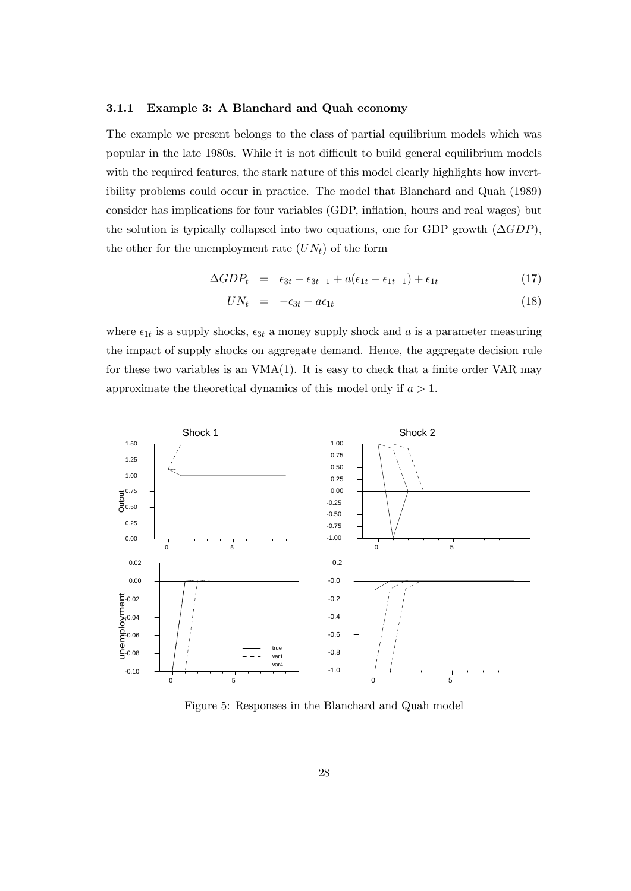### 3.1.1 Example 3: A Blanchard and Quah economy

The example we present belongs to the class of partial equilibrium models which was popular in the late 1980s. While it is not difficult to build general equilibrium models with the required features, the stark nature of this model clearly highlights how invertibility problems could occur in practice. The model that Blanchard and Quah (1989) consider has implications for four variables (GDP, inflation, hours and real wages) but the solution is typically collapsed into two equations, one for GDP growth  $(\Delta GDP)$ , the other for the unemployment rate  $(UN_t)$  of the form

$$
\Delta GDP_t = \epsilon_{3t} - \epsilon_{3t-1} + a(\epsilon_{1t} - \epsilon_{1t-1}) + \epsilon_{1t} \tag{17}
$$

$$
UN_t = -\epsilon_{3t} - a\epsilon_{1t} \tag{18}
$$

where  $\epsilon_{1t}$  is a supply shocks,  $\epsilon_{3t}$  a money supply shock and a is a parameter measuring the impact of supply shocks on aggregate demand. Hence, the aggregate decision rule for these two variables is an  $VMA(1)$ . It is easy to check that a finite order VAR may approximate the theoretical dynamics of this model only if  $a > 1$ .



Figure 5: Responses in the Blanchard and Quah model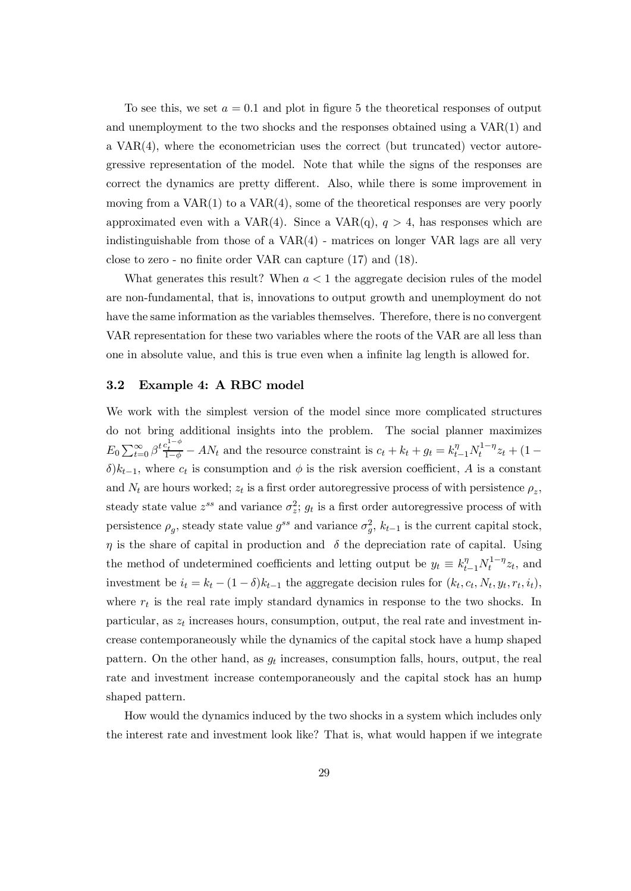To see this, we set  $a = 0.1$  and plot in figure 5 the theoretical responses of output and unemployment to the two shocks and the responses obtained using a VAR(1) and a  $VAR(4)$ , where the econometrician uses the correct (but truncated) vector autoregressive representation of the model. Note that while the signs of the responses are correct the dynamics are pretty different. Also, while there is some improvement in moving from a VAR(1) to a VAR(4), some of the theoretical responses are very poorly approximated even with a VAR(4). Since a VAR(q),  $q > 4$ , has responses which are indistinguishable from those of a VAR(4) - matrices on longer VAR lags are all very close to zero - no finite order VAR can capture (17) and (18).

What generates this result? When  $a < 1$  the aggregate decision rules of the model are non-fundamental, that is, innovations to output growth and unemployment do not have the same information as the variables themselves. Therefore, there is no convergent VAR representation for these two variables where the roots of the VAR are all less than one in absolute value, and this is true even when a infinite lag length is allowed for.

#### 3.2 Example 4: A RBC model

We work with the simplest version of the model since more complicated structures do not bring additional insights into the problem. The social planner maximizes  $E_0 \sum_{t=0}^{\infty} \beta^t \frac{c_t^{1-\phi}}{1-\phi} - AN_t$  and the resource constraint is  $c_t + k_t + g_t = k_{t-1}^{\eta} N_t^{1-\eta} z_t + (1-\phi)$  $\delta$ ) $k_{t-1}$ , where  $c_t$  is consumption and  $\phi$  is the risk aversion coefficient, A is a constant and  $N_t$  are hours worked;  $z_t$  is a first order autoregressive process of with persistence  $\rho_z$ , steady state value  $z^{ss}$  and variance  $\sigma_z^2$ ;  $g_t$  is a first order autoregressive process of with persistence  $\rho_g$ , steady state value  $g^{ss}$  and variance  $\sigma_g^2$ ,  $k_{t-1}$  is the current capital stock,  $\eta$  is the share of capital in production and  $\delta$  the depreciation rate of capital. Using the method of undetermined coefficients and letting output be  $y_t \equiv k_{t-1}^{\eta} N_t^{1-\eta} z_t$ , and investment be  $i_t = k_t - (1 - \delta)k_{t-1}$  the aggregate decision rules for  $(k_t, c_t, N_t, y_t, r_t, i_t)$ , where  $r_t$  is the real rate imply standard dynamics in response to the two shocks. In particular, as  $z_t$  increases hours, consumption, output, the real rate and investment increase contemporaneously while the dynamics of the capital stock have a hump shaped pattern. On the other hand, as  $g_t$  increases, consumption falls, hours, output, the real rate and investment increase contemporaneously and the capital stock has an hump shaped pattern.

How would the dynamics induced by the two shocks in a system which includes only the interest rate and investment look like? That is, what would happen if we integrate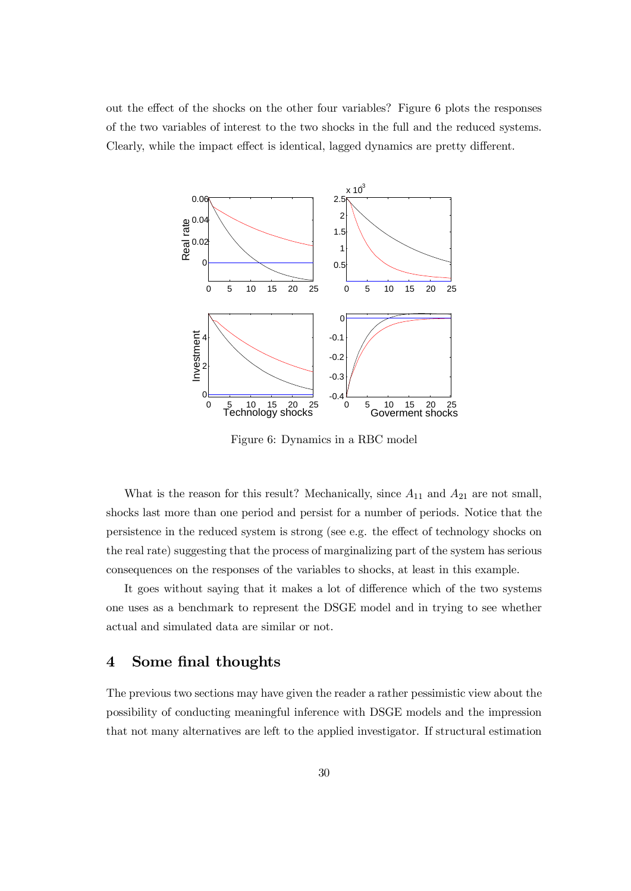out the effect of the shocks on the other four variables? Figure 6 plots the responses of the two variables of interest to the two shocks in the full and the reduced systems. Clearly, while the impact effect is identical, lagged dynamics are pretty different.



Figure 6: Dynamics in a RBC model

What is the reason for this result? Mechanically, since  $A_{11}$  and  $A_{21}$  are not small, shocks last more than one period and persist for a number of periods. Notice that the persistence in the reduced system is strong (see e.g. the effect of technology shocks on the real rate) suggesting that the process of marginalizing part of the system has serious consequences on the responses of the variables to shocks, at least in this example.

It goes without saying that it makes a lot of difference which of the two systems one uses as a benchmark to represent the DSGE model and in trying to see whether actual and simulated data are similar or not.

### 4 Some final thoughts

The previous two sections may have given the reader a rather pessimistic view about the possibility of conducting meaningful inference with DSGE models and the impression that not many alternatives are left to the applied investigator. If structural estimation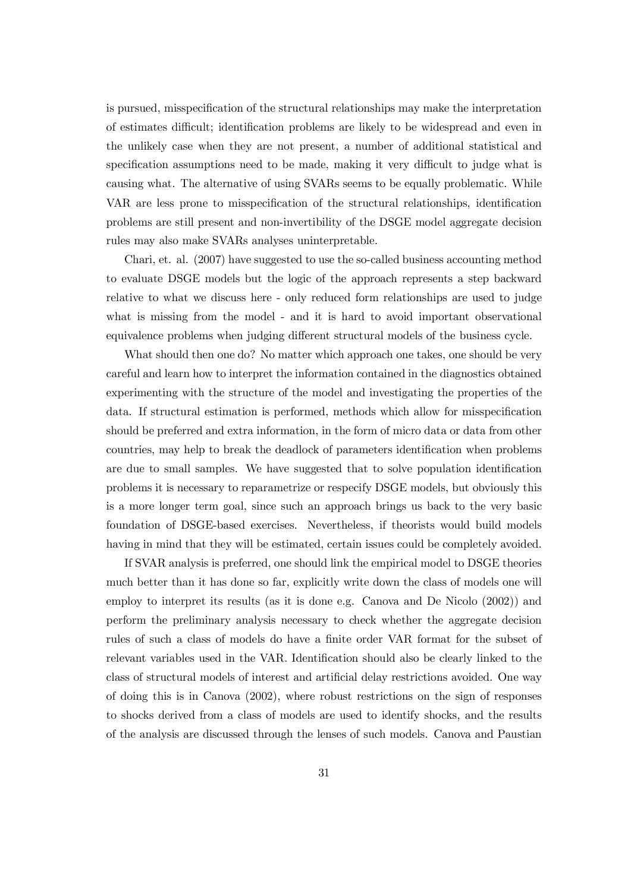is pursued, misspecification of the structural relationships may make the interpretation of estimates difficult; identification problems are likely to be widespread and even in the unlikely case when they are not present, a number of additional statistical and specification assumptions need to be made, making it very difficult to judge what is causing what. The alternative of using SVARs seems to be equally problematic. While VAR are less prone to misspecification of the structural relationships, identification problems are still present and non-invertibility of the DSGE model aggregate decision rules may also make SVARs analyses uninterpretable.

Chari, et. al. (2007) have suggested to use the so-called business accounting method to evaluate DSGE models but the logic of the approach represents a step backward relative to what we discuss here - only reduced form relationships are used to judge what is missing from the model - and it is hard to avoid important observational equivalence problems when judging different structural models of the business cycle.

What should then one do? No matter which approach one takes, one should be very careful and learn how to interpret the information contained in the diagnostics obtained experimenting with the structure of the model and investigating the properties of the data. If structural estimation is performed, methods which allow for misspecification should be preferred and extra information, in the form of micro data or data from other countries, may help to break the deadlock of parameters identification when problems are due to small samples. We have suggested that to solve population identification problems it is necessary to reparametrize or respecify DSGE models, but obviously this is a more longer term goal, since such an approach brings us back to the very basic foundation of DSGE-based exercises. Nevertheless, if theorists would build models having in mind that they will be estimated, certain issues could be completely avoided.

If SVAR analysis is preferred, one should link the empirical model to DSGE theories much better than it has done so far, explicitly write down the class of models one will employ to interpret its results (as it is done e.g. Canova and De Nicolo (2002)) and perform the preliminary analysis necessary to check whether the aggregate decision rules of such a class of models do have a finite order VAR format for the subset of relevant variables used in the VAR. Identification should also be clearly linked to the class of structural models of interest and artificial delay restrictions avoided. One way of doing this is in Canova (2002), where robust restrictions on the sign of responses to shocks derived from a class of models are used to identify shocks, and the results of the analysis are discussed through the lenses of such models. Canova and Paustian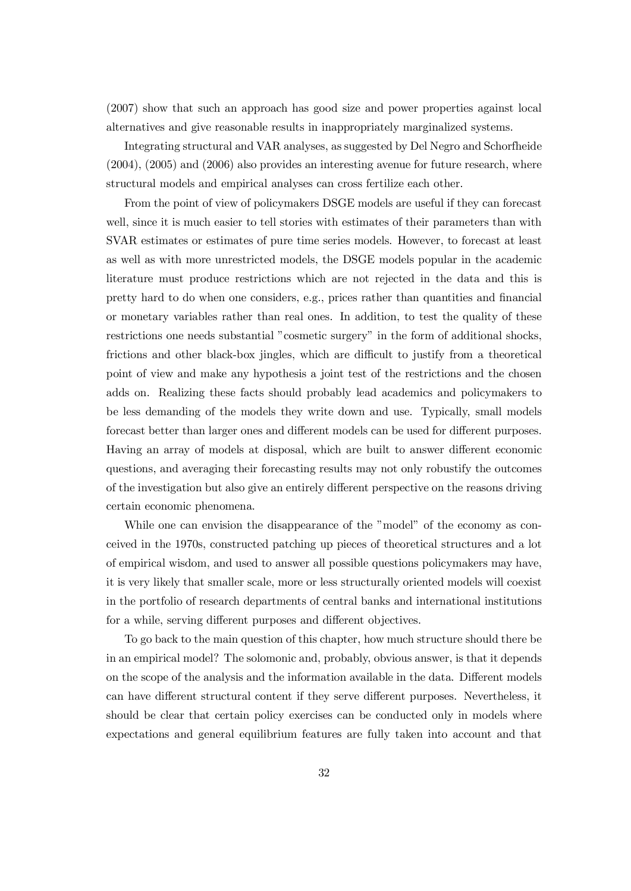(2007) show that such an approach has good size and power properties against local alternatives and give reasonable results in inappropriately marginalized systems.

Integrating structural and VAR analyses, as suggested by Del Negro and Schorfheide (2004), (2005) and (2006) also provides an interesting avenue for future research, where structural models and empirical analyses can cross fertilize each other.

From the point of view of policymakers DSGE models are useful if they can forecast well, since it is much easier to tell stories with estimates of their parameters than with SVAR estimates or estimates of pure time series models. However, to forecast at least as well as with more unrestricted models, the DSGE models popular in the academic literature must produce restrictions which are not rejected in the data and this is pretty hard to do when one considers, e.g., prices rather than quantities and financial or monetary variables rather than real ones. In addition, to test the quality of these restrictions one needs substantial "cosmetic surgery" in the form of additional shocks, frictions and other black-box jingles, which are difficult to justify from a theoretical point of view and make any hypothesis a joint test of the restrictions and the chosen adds on. Realizing these facts should probably lead academics and policymakers to be less demanding of the models they write down and use. Typically, small models forecast better than larger ones and different models can be used for different purposes. Having an array of models at disposal, which are built to answer different economic questions, and averaging their forecasting results may not only robustify the outcomes of the investigation but also give an entirely different perspective on the reasons driving certain economic phenomena.

While one can envision the disappearance of the "model" of the economy as conceived in the 1970s, constructed patching up pieces of theoretical structures and a lot of empirical wisdom, and used to answer all possible questions policymakers may have, it is very likely that smaller scale, more or less structurally oriented models will coexist in the portfolio of research departments of central banks and international institutions for a while, serving different purposes and different objectives.

To go back to the main question of this chapter, how much structure should there be in an empirical model? The solomonic and, probably, obvious answer, is that it depends on the scope of the analysis and the information available in the data. Different models can have different structural content if they serve different purposes. Nevertheless, it should be clear that certain policy exercises can be conducted only in models where expectations and general equilibrium features are fully taken into account and that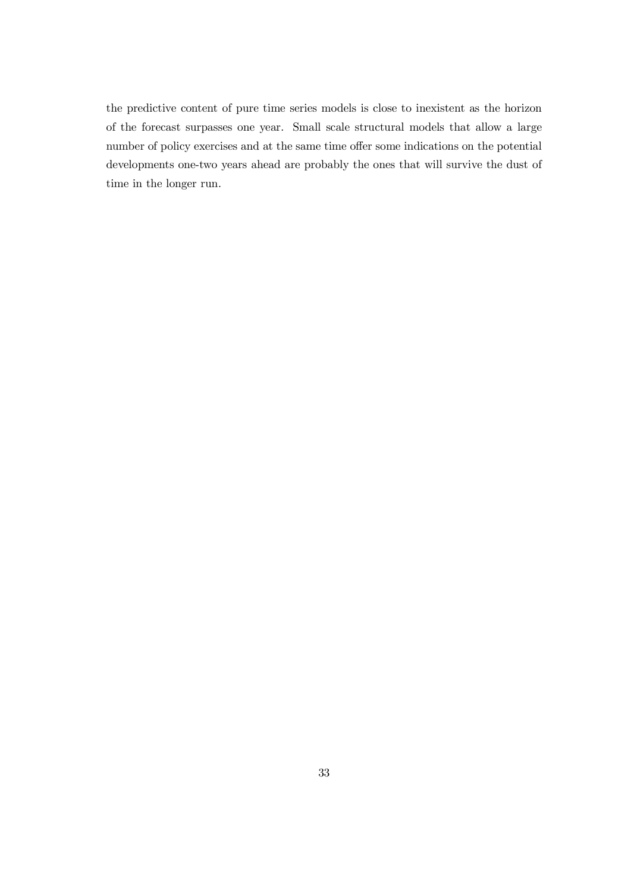the predictive content of pure time series models is close to inexistent as the horizon of the forecast surpasses one year. Small scale structural models that allow a large number of policy exercises and at the same time offer some indications on the potential developments one-two years ahead are probably the ones that will survive the dust of time in the longer run.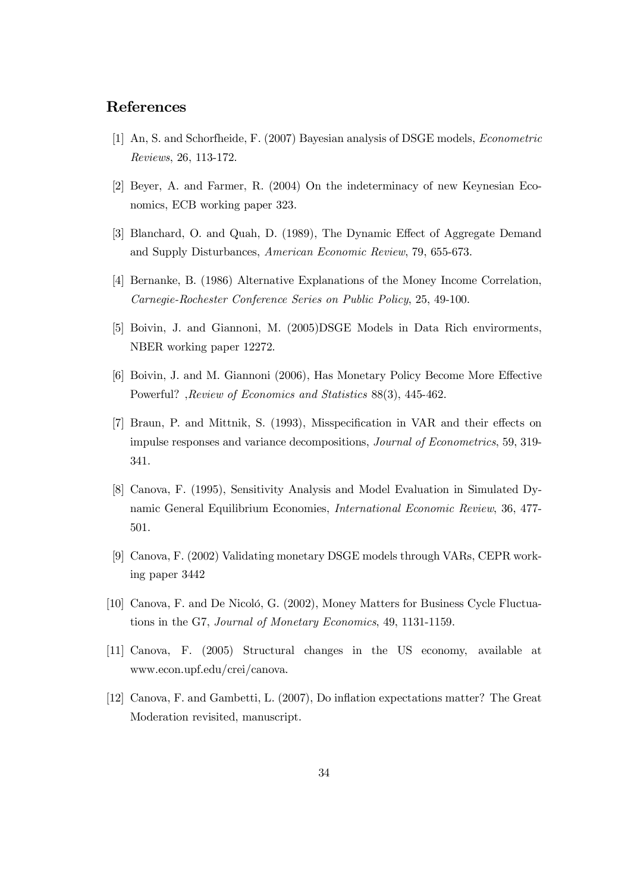# References

- [1] An, S. and Schorfheide, F. (2007) Bayesian analysis of DSGE models, Econometric Reviews, 26, 113-172.
- [2] Beyer, A. and Farmer, R. (2004) On the indeterminacy of new Keynesian Economics, ECB working paper 323.
- [3] Blanchard, O. and Quah, D. (1989), The Dynamic Effect of Aggregate Demand and Supply Disturbances, American Economic Review, 79, 655-673.
- [4] Bernanke, B. (1986) Alternative Explanations of the Money Income Correlation, Carnegie-Rochester Conference Series on Public Policy, 25, 49-100.
- [5] Boivin, J. and Giannoni, M. (2005)DSGE Models in Data Rich envirorments, NBER working paper 12272.
- [6] Boivin, J. and M. Giannoni (2006), Has Monetary Policy Become More Effective Powerful? ,Review of Economics and Statistics 88(3), 445-462.
- [7] Braun, P. and Mittnik, S. (1993), Misspecification in VAR and their effects on impulse responses and variance decompositions, Journal of Econometrics, 59, 319- 341.
- [8] Canova, F. (1995), Sensitivity Analysis and Model Evaluation in Simulated Dynamic General Equilibrium Economies, International Economic Review, 36, 477- 501.
- [9] Canova, F. (2002) Validating monetary DSGE models through VARs, CEPR working paper 3442
- [10] Canova, F. and De Nicoló, G. (2002), Money Matters for Business Cycle Fluctuations in the G7, Journal of Monetary Economics, 49, 1131-1159.
- [11] Canova, F. (2005) Structural changes in the US economy, available at www.econ.upf.edu/crei/canova.
- [12] Canova, F. and Gambetti, L. (2007), Do inflation expectations matter? The Great Moderation revisited, manuscript.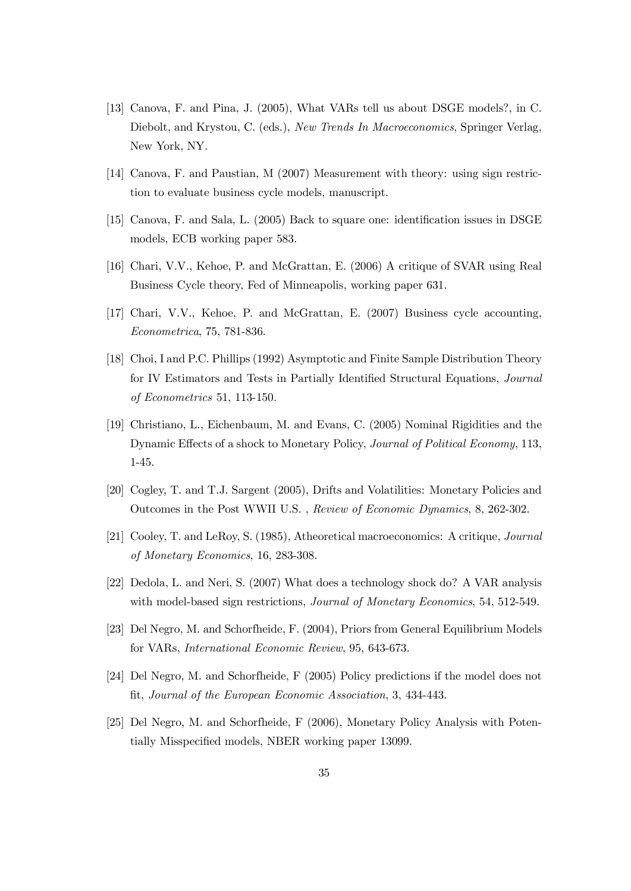- [13] Canova, F. and Pina, J. (2005), What VARs tell us about DSGE models?, in C. Diebolt, and Krystou, C. (eds.), New Trends In Macroeconomics, Springer Verlag, New York, NY.
- [14] Canova, F. and Paustian, M (2007) Measurement with theory: using sign restriction to evaluate business cycle models, manuscript.
- [15] Canova, F. and Sala, L. (2005) Back to square one: identification issues in DSGE models, ECB working paper 583.
- [16] Chari, V.V., Kehoe, P. and McGrattan, E. (2006) A critique of SVAR using Real Business Cycle theory, Fed of Minneapolis, working paper 631.
- [17] Chari, V.V., Kehoe, P. and McGrattan, E. (2007) Business cycle accounting, Econometrica, 75, 781-836.
- [18] Choi, I and P.C. Phillips (1992) Asymptotic and Finite Sample Distribution Theory for IV Estimators and Tests in Partially Identified Structural Equations, Journal of Econometrics 51, 113-150.
- [19] Christiano, L., Eichenbaum, M. and Evans, C. (2005) Nominal Rigidities and the Dynamic Effects of a shock to Monetary Policy, Journal of Political Economy, 113, 1-45.
- [20] Cogley, T. and T.J. Sargent (2005), Drifts and Volatilities: Monetary Policies and Outcomes in the Post WWII U.S. , Review of Economic Dynamics, 8, 262-302.
- [21] Cooley, T. and LeRoy, S. (1985), Atheoretical macroeconomics: A critique, Journal of Monetary Economics, 16, 283-308.
- [22] Dedola, L. and Neri, S. (2007) What does a technology shock do? A VAR analysis with model-based sign restrictions, *Journal of Monetary Economics*, 54, 512-549.
- [23] Del Negro, M. and Schorfheide, F. (2004), Priors from General Equilibrium Models for VARs, International Economic Review, 95, 643-673.
- [24] Del Negro, M. and Schorfheide, F (2005) Policy predictions if the model does not fit, Journal of the European Economic Association, 3, 434-443.
- [25] Del Negro, M. and Schorfheide, F (2006), Monetary Policy Analysis with Potentially Misspecified models, NBER working paper 13099.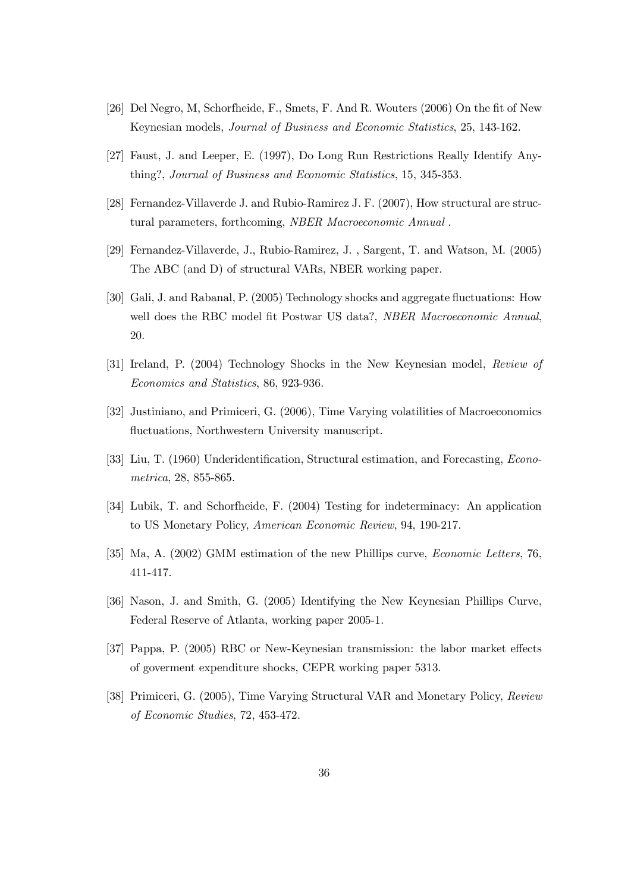- [26] Del Negro, M, Schorfheide, F., Smets, F. And R. Wouters (2006) On the fit of New Keynesian models, Journal of Business and Economic Statistics, 25, 143-162.
- [27] Faust, J. and Leeper, E. (1997), Do Long Run Restrictions Really Identify Anything?, Journal of Business and Economic Statistics, 15, 345-353.
- [28] Fernandez-Villaverde J. and Rubio-Ramirez J. F. (2007), How structural are structural parameters, forthcoming, NBER Macroeconomic Annual .
- [29] Fernandez-Villaverde, J., Rubio-Ramirez, J. , Sargent, T. and Watson, M. (2005) The ABC (and D) of structural VARs, NBER working paper.
- [30] Gali, J. and Rabanal, P. (2005) Technology shocks and aggregate fluctuations: How well does the RBC model fit Postwar US data?, NBER Macroeconomic Annual, 20.
- [31] Ireland, P. (2004) Technology Shocks in the New Keynesian model, Review of Economics and Statistics, 86, 923-936.
- [32] Justiniano, and Primiceri, G. (2006), Time Varying volatilities of Macroeconomics fluctuations, Northwestern University manuscript.
- [33] Liu, T. (1960) Underidentification, Structural estimation, and Forecasting, Econometrica, 28, 855-865.
- [34] Lubik, T. and Schorfheide, F. (2004) Testing for indeterminacy: An application to US Monetary Policy, American Economic Review, 94, 190-217.
- [35] Ma, A. (2002) GMM estimation of the new Phillips curve, Economic Letters, 76, 411-417.
- [36] Nason, J. and Smith, G. (2005) Identifying the New Keynesian Phillips Curve, Federal Reserve of Atlanta, working paper 2005-1.
- [37] Pappa, P. (2005) RBC or New-Keynesian transmission: the labor market effects of goverment expenditure shocks, CEPR working paper 5313.
- [38] Primiceri, G. (2005), Time Varying Structural VAR and Monetary Policy, Review of Economic Studies, 72, 453-472.